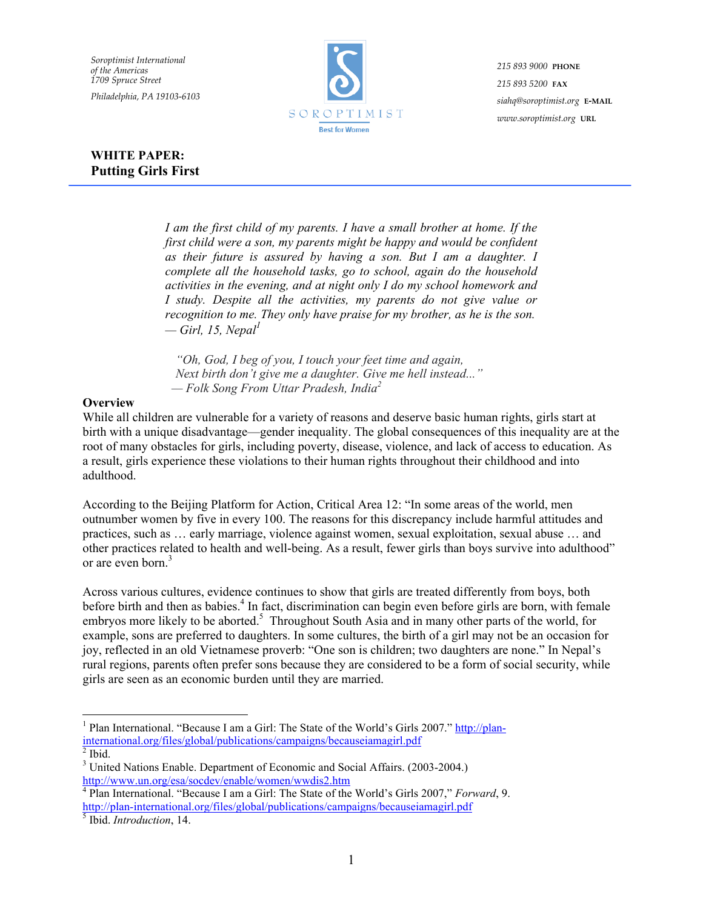*Soroptimist International of the Americas 1709 Spruce Street Philadelphia, PA 19103-6103*



*215 893 9000* **PHONE** *215 893 5200* **FAX** *siahq@soroptimist.org* **E-MAIL** *www.soroptimist.org* **URL**

# **WHITE PAPER: Putting Girls First**

*I am the first child of my parents. I have a small brother at home. If the first child were a son, my parents might be happy and would be confident as their future is assured by having a son. But I am a daughter. I complete all the household tasks, go to school, again do the household activities in the evening, and at night only I do my school homework and I study. Despite all the activities, my parents do not give value or recognition to me. They only have praise for my brother, as he is the son. — Girl, 15, Nepal<sup>1</sup>*

*"Oh, God, I beg of you, I touch your feet time and again, Next birth don't give me a daughter. Give me hell instead..." — Folk Song From Uttar Pradesh, India<sup>2</sup>*

#### **Overview**

While all children are vulnerable for a variety of reasons and deserve basic human rights, girls start at birth with a unique disadvantage—gender inequality. The global consequences of this inequality are at the root of many obstacles for girls, including poverty, disease, violence, and lack of access to education. As a result, girls experience these violations to their human rights throughout their childhood and into adulthood.

According to the Beijing Platform for Action, Critical Area 12: "In some areas of the world, men outnumber women by five in every 100. The reasons for this discrepancy include harmful attitudes and practices, such as … early marriage, violence against women, sexual exploitation, sexual abuse … and other practices related to health and well-being. As a result, fewer girls than boys survive into adulthood" or are even born.<sup>3</sup>

Across various cultures, evidence continues to show that girls are treated differently from boys, both before birth and then as babies.<sup>4</sup> In fact, discrimination can begin even before girls are born, with female embryos more likely to be aborted.<sup>5</sup> Throughout South Asia and in many other parts of the world, for example, sons are preferred to daughters. In some cultures, the birth of a girl may not be an occasion for joy, reflected in an old Vietnamese proverb: "One son is children; two daughters are none." In Nepal's rural regions, parents often prefer sons because they are considered to be a form of social security, while girls are seen as an economic burden until they are married.

 $\frac{1}{1}$ <sup>1</sup> Plan International. "Because I am a Girl: The State of the World's Girls 2007." http://planinternational.org/files/global/publications/campaigns/becauseiamagirl.pdf <sup>2</sup>

 $\overline{\overline{\text{2}}$  Ibid.

<sup>&</sup>lt;sup>3</sup> United Nations Enable. Department of Economic and Social Affairs. (2003-2004.) http://www.un.org/esa/socdev/enable/women/wwdis2.htm

<sup>4</sup> Plan International. "Because I am a Girl: The State of the World's Girls 2007," *Forward*, 9. http://plan-international.org/files/global/publications/campaigns/becauseiamagirl.pdf <sup>5</sup>

Ibid. *Introduction*, 14.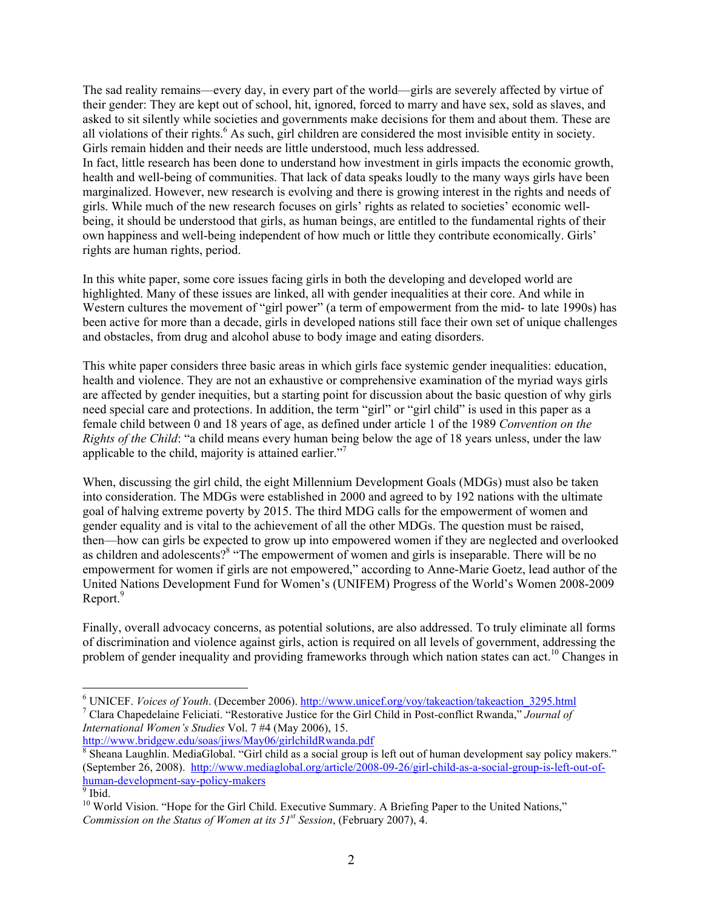The sad reality remains—every day, in every part of the world—girls are severely affected by virtue of their gender: They are kept out of school, hit, ignored, forced to marry and have sex, sold as slaves, and asked to sit silently while societies and governments make decisions for them and about them. These are all violations of their rights.<sup>6</sup> As such, girl children are considered the most invisible entity in society. Girls remain hidden and their needs are little understood, much less addressed. In fact, little research has been done to understand how investment in girls impacts the economic growth, health and well-being of communities. That lack of data speaks loudly to the many ways girls have been marginalized. However, new research is evolving and there is growing interest in the rights and needs of girls. While much of the new research focuses on girls' rights as related to societies' economic wellbeing, it should be understood that girls, as human beings, are entitled to the fundamental rights of their own happiness and well-being independent of how much or little they contribute economically. Girls' rights are human rights, period.

In this white paper, some core issues facing girls in both the developing and developed world are highlighted. Many of these issues are linked, all with gender inequalities at their core. And while in Western cultures the movement of "girl power" (a term of empowerment from the mid- to late 1990s) has been active for more than a decade, girls in developed nations still face their own set of unique challenges and obstacles, from drug and alcohol abuse to body image and eating disorders.

This white paper considers three basic areas in which girls face systemic gender inequalities: education, health and violence. They are not an exhaustive or comprehensive examination of the myriad ways girls are affected by gender inequities, but a starting point for discussion about the basic question of why girls need special care and protections. In addition, the term "girl" or "girl child" is used in this paper as a female child between 0 and 18 years of age, as defined under article 1 of the 1989 *Convention on the Rights of the Child*: "a child means every human being below the age of 18 years unless, under the law applicable to the child, majority is attained earlier."7

When, discussing the girl child, the eight Millennium Development Goals (MDGs) must also be taken into consideration. The MDGs were established in 2000 and agreed to by 192 nations with the ultimate goal of halving extreme poverty by 2015. The third MDG calls for the empowerment of women and gender equality and is vital to the achievement of all the other MDGs. The question must be raised, then—how can girls be expected to grow up into empowered women if they are neglected and overlooked as children and adolescents?<sup>8</sup> "The empowerment of women and girls is inseparable. There will be no empowerment for women if girls are not empowered," according to Anne-Marie Goetz, lead author of the United Nations Development Fund for Women's (UNIFEM) Progress of the World's Women 2008-2009 Report.<sup>9</sup>

Finally, overall advocacy concerns, as potential solutions, are also addressed. To truly eliminate all forms of discrimination and violence against girls, action is required on all levels of government, addressing the problem of gender inequality and providing frameworks through which nation states can act.<sup>10</sup> Changes in

http://www.bridgew.edu/soas/jiws/May06/girlchildRwanda.pdf

 $\frac{1}{6}$ <sup>6</sup> UNICEF. *Voices of Youth*. (December 2006). http://www.unicef.org/voy/takeaction/takeaction 3295.html

Clara Chapedelaine Feliciati. "Restorative Justice for the Girl Child in Post-conflict Rwanda," *Journal of International Women's Studies* Vol. 7 #4 (May 2006), 15.

<sup>&</sup>lt;sup>8</sup> Sheana Laughlin. MediaGlobal. "Girl child as a social group is left out of human development say policy makers." (September 26, 2008). http://www.mediaglobal.org/article/2008-09-26/girl-child-as-a-social-group-is-left-out-ofhuman-development-say-policy-makers <sup>9</sup>

 $\overline{9}$  Ibid.

<sup>&</sup>lt;sup>10</sup> World Vision. "Hope for the Girl Child. Executive Summary. A Briefing Paper to the United Nations," *Commission on the Status of Women at its 51st Session*, (February 2007), 4.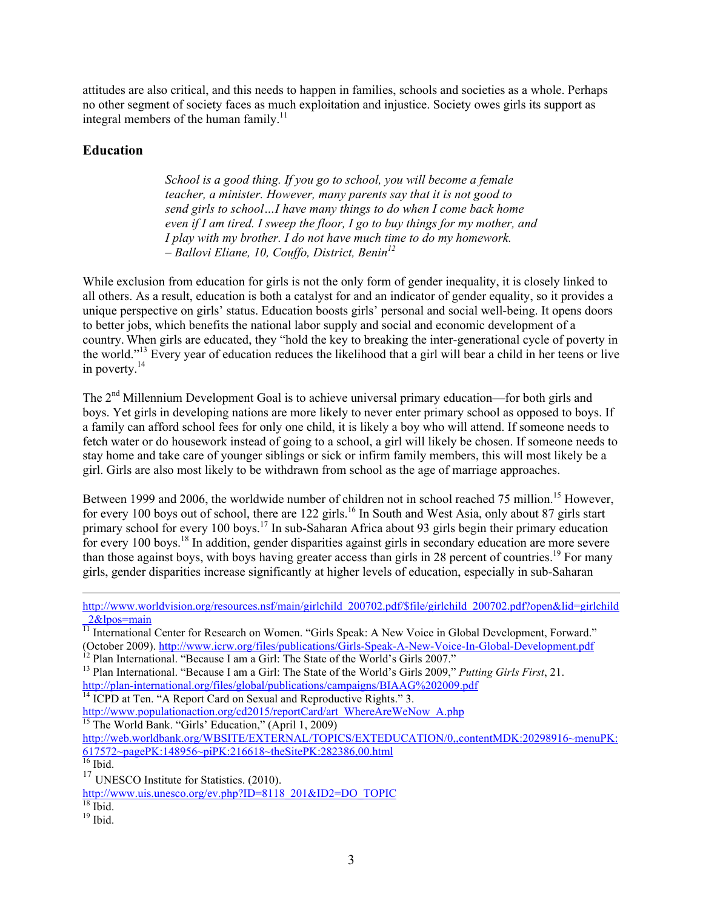attitudes are also critical, and this needs to happen in families, schools and societies as a whole. Perhaps no other segment of society faces as much exploitation and injustice. Society owes girls its support as integral members of the human family.<sup>11</sup>

## **Education**

*School is a good thing. If you go to school, you will become a female teacher, a minister. However, many parents say that it is not good to send girls to school…I have many things to do when I come back home even if I am tired. I sweep the floor, I go to buy things for my mother, and I play with my brother. I do not have much time to do my homework. – Ballovi Eliane, 10, Couffo, District, Benin12*

While exclusion from education for girls is not the only form of gender inequality, it is closely linked to all others. As a result, education is both a catalyst for and an indicator of gender equality, so it provides a unique perspective on girls' status. Education boosts girls' personal and social well-being. It opens doors to better jobs, which benefits the national labor supply and social and economic development of a country. When girls are educated, they "hold the key to breaking the inter-generational cycle of poverty in the world."13 Every year of education reduces the likelihood that a girl will bear a child in her teens or live in poverty.14

The 2<sup>nd</sup> Millennium Development Goal is to achieve universal primary education—for both girls and boys. Yet girls in developing nations are more likely to never enter primary school as opposed to boys. If a family can afford school fees for only one child, it is likely a boy who will attend. If someone needs to fetch water or do housework instead of going to a school, a girl will likely be chosen. If someone needs to stay home and take care of younger siblings or sick or infirm family members, this will most likely be a girl. Girls are also most likely to be withdrawn from school as the age of marriage approaches.

Between 1999 and 2006, the worldwide number of children not in school reached 75 million.<sup>15</sup> However, for every 100 boys out of school, there are 122 girls.<sup>16</sup> In South and West Asia, only about 87 girls start primary school for every 100 boys.<sup>17</sup> In sub-Saharan Africa about 93 girls begin their primary education for every 100 boys.<sup>18</sup> In addition, gender disparities against girls in secondary education are more severe than those against boys, with boys having greater access than girls in 28 percent of countries.<sup>19</sup> For many girls, gender disparities increase significantly at higher levels of education, especially in sub-Saharan

http://www.populationaction.org/cd2015/reportCard/art\_WhereAreWeNow\_A.php

<sup>15</sup> The World Bank. "Girls' Education," (April 1, 2009)

http://web.worldbank.org/WBSITE/EXTERNAL/TOPICS/EXTEDUCATION/0,,contentMDK:20298916~menuPK: 617572~pagePK:148956~piPK:216618~theSitePK:282386,00.html

 $16$  Ibid.

<sup>17</sup> UNESCO Institute for Statistics. (2010).

http://www.uis.unesco.org/ev.php?ID=8118\_201&ID2=DO\_TOPIC <sup>18</sup> Ibid.

http://www.worldvision.org/resources.nsf/main/girlchild\_200702.pdf/\$file/girlchild\_200702.pdf?open&lid=girlchild \_2&lpos=main

<sup>&</sup>lt;sup>11</sup> International Center for Research on Women. "Girls Speak: A New Voice in Global Development, Forward." (October 2009). http://www.icrw.org/files/publications/Girls-Speak-A-New-Voice-In-Global-Development.pdf<br><sup>12</sup> Plan International. "Because I am a Girl: The State of the World's Girls 2007."

<sup>13</sup> Plan International. "Because I am a Girl: The State of the World's Girls 2009," *Putting Girls First*, 21.

http://plan-international.org/files/global/publications/campaigns/BIAAG%202009.pdf<br><sup>14</sup> ICPD at Ten. "A Report Card on Sexual and Reproductive Rights." 3.

 $19$  Ibid.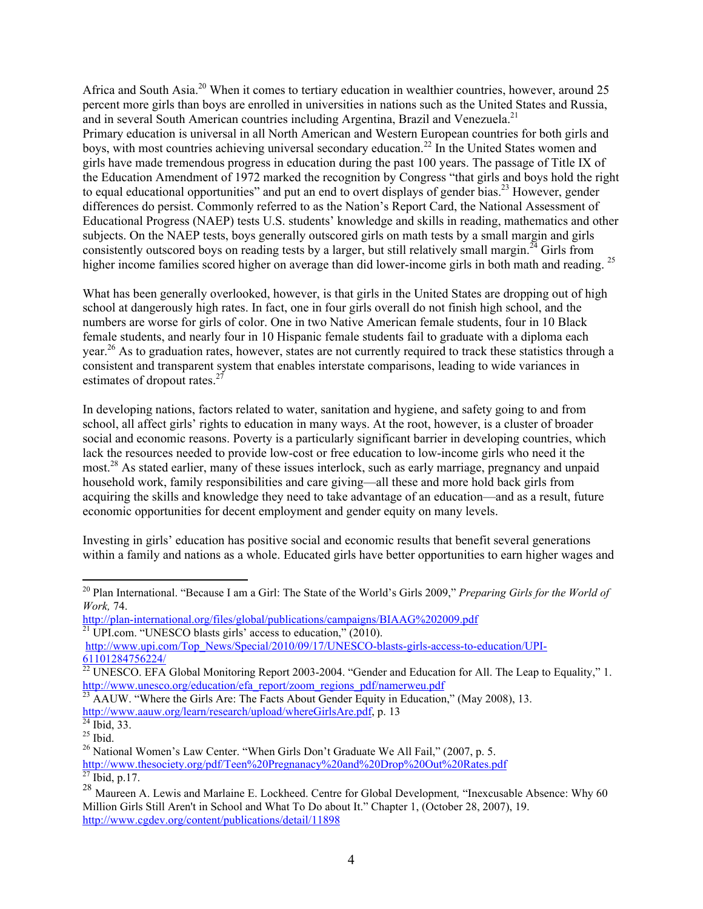Africa and South Asia.<sup>20</sup> When it comes to tertiary education in wealthier countries, however, around 25 percent more girls than boys are enrolled in universities in nations such as the United States and Russia, and in several South American countries including Argentina, Brazil and Venezuela.<sup>21</sup> Primary education is universal in all North American and Western European countries for both girls and boys, with most countries achieving universal secondary education.<sup>22</sup> In the United States women and girls have made tremendous progress in education during the past 100 years. The passage of Title IX of the Education Amendment of 1972 marked the recognition by Congress "that girls and boys hold the right to equal educational opportunities" and put an end to overt displays of gender bias.<sup>23</sup> However, gender differences do persist. Commonly referred to as the Nation's Report Card, the National Assessment of Educational Progress (NAEP) tests U.S. students' knowledge and skills in reading, mathematics and other subjects. On the NAEP tests, boys generally outscored girls on math tests by a small margin and girls consistently outscored boys on reading tests by a larger, but still relatively small margin.<sup>24</sup> Girls from higher income families scored higher on average than did lower-income girls in both math and reading.<sup>25</sup>

What has been generally overlooked, however, is that girls in the United States are dropping out of high school at dangerously high rates. In fact, one in four girls overall do not finish high school, and the numbers are worse for girls of color. One in two Native American female students, four in 10 Black female students, and nearly four in 10 Hispanic female students fail to graduate with a diploma each year.26 As to graduation rates, however, states are not currently required to track these statistics through a consistent and transparent system that enables interstate comparisons, leading to wide variances in estimates of dropout rates.<sup>27</sup>

In developing nations, factors related to water, sanitation and hygiene, and safety going to and from school, all affect girls' rights to education in many ways. At the root, however, is a cluster of broader social and economic reasons. Poverty is a particularly significant barrier in developing countries, which lack the resources needed to provide low-cost or free education to low-income girls who need it the most.28 As stated earlier, many of these issues interlock, such as early marriage, pregnancy and unpaid household work, family responsibilities and care giving—all these and more hold back girls from acquiring the skills and knowledge they need to take advantage of an education—and as a result, future economic opportunities for decent employment and gender equity on many levels.

Investing in girls' education has positive social and economic results that benefit several generations within a family and nations as a whole. Educated girls have better opportunities to earn higher wages and

http://www.aauw.org/learn/research/upload/whereGirlsAre.pdf, p. 13<sup>24</sup> Ibid, 33.

 <sup>20</sup> Plan International. "Because I am a Girl: The State of the World's Girls 2009," *Preparing Girls for the World of Work,* 74.

http://plan-international.org/files/global/publications/campaigns/BIAAG%202009.pdf <sup>21</sup> UPI.com. "UNESCO blasts girls' access to education," (2010).

http://www.upi.com/Top\_News/Special/2010/09/17/UNESCO-blasts-girls-access-to-education/UPI-61101284756224/

 $^{22}$  UNESCO. EFA Global Monitoring Report 2003-2004. "Gender and Education for All. The Leap to Equality," 1. http://www.unesco.org/education/efa\_report/zoom\_regions\_pdf/namerweu.pdf

<sup>&</sup>lt;sup>23</sup> AAUW. "Where the Girls Are: The Facts About Gender Equity in Education," (May 2008), 13.

 $^{25}$  Ibid.

 $^{26}$  National Women's Law Center. "When Girls Don't Graduate We All Fail," (2007, p. 5.) http://www.thesociety.org/pdf/Teen%20Pregnanacy%20and%20Drop%20Out%20Rates.pdf <sup>27</sup> Ibid, p.17.

<sup>28</sup> Maureen A. Lewis and Marlaine E. Lockheed. Centre for Global Development, "Inexcusable Absence: Why 60 Million Girls Still Aren't in School and What To Do about It." Chapter 1, (October 28, 2007), 19. http://www.cgdev.org/content/publications/detail/11898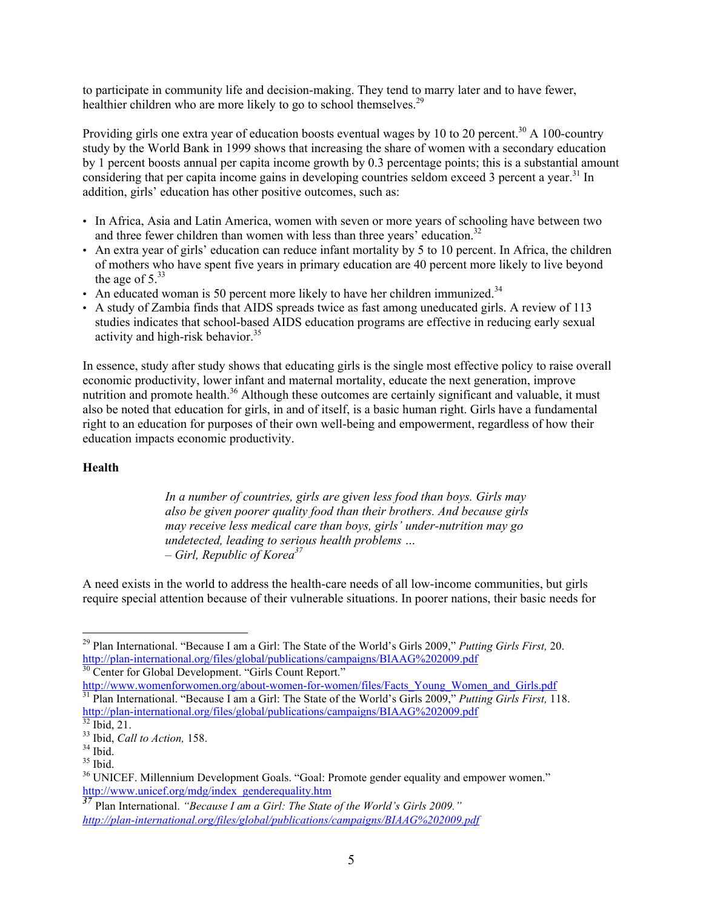to participate in community life and decision-making. They tend to marry later and to have fewer, healthier children who are more likely to go to school themselves.<sup>29</sup>

Providing girls one extra year of education boosts eventual wages by 10 to 20 percent.<sup>30</sup> A 100-country study by the World Bank in 1999 shows that increasing the share of women with a secondary education by 1 percent boosts annual per capita income growth by 0.3 percentage points; this is a substantial amount considering that per capita income gains in developing countries seldom exceed 3 percent a year.<sup>31</sup> In addition, girls' education has other positive outcomes, such as:

- In Africa, Asia and Latin America, women with seven or more years of schooling have between two and three fewer children than women with less than three years<sup>3</sup> education.<sup>32</sup>
- An extra year of girls' education can reduce infant mortality by 5 to 10 percent. In Africa, the children of mothers who have spent five years in primary education are 40 percent more likely to live beyond the age of  $5^{33}$
- An educated woman is 50 percent more likely to have her children immunized.<sup>34</sup>
- A study of Zambia finds that AIDS spreads twice as fast among uneducated girls. A review of 113 studies indicates that school-based AIDS education programs are effective in reducing early sexual activity and high-risk behavior. $35$

In essence, study after study shows that educating girls is the single most effective policy to raise overall economic productivity, lower infant and maternal mortality, educate the next generation, improve nutrition and promote health.<sup>36</sup> Although these outcomes are certainly significant and valuable, it must also be noted that education for girls, in and of itself, is a basic human right. Girls have a fundamental right to an education for purposes of their own well-being and empowerment, regardless of how their education impacts economic productivity.

#### **Health**

*In a number of countries, girls are given less food than boys. Girls may also be given poorer quality food than their brothers. And because girls may receive less medical care than boys, girls' under-nutrition may go undetected, leading to serious health problems … – Girl, Republic of Korea<sup>37</sup>*

A need exists in the world to address the health-care needs of all low-income communities, but girls require special attention because of their vulnerable situations. In poorer nations, their basic needs for

 <sup>29</sup> Plan International. "Because I am a Girl: The State of the World's Girls 2009," *Putting Girls First,* 20. http://plan-international.org/files/global/publications/campaigns/BIAAG%202009.pdf<br><sup>30</sup> Center for Global Development. "Girls Count Report."

http://www.womenforwomen.org/about-women-for-women/files/Facts\_Young\_Women\_and\_Girls.pdf 31 Plan International. "Because I am a Girl: The State of the World's Girls 2009," *Putting Girls First,* 118. http://plan-international.org/files/global/publications/campaigns/BIAAG%202009.pdf<br><sup>32</sup> Ibid. 21.

<sup>33</sup> Ibid, *Call to Action,* 158. 34 Ibid.

 $35$  Ibid.

<sup>&</sup>lt;sup>36</sup> UNICEF. Millennium Development Goals. "Goal: Promote gender equality and empower women." http://www.unicef.org/mdg/index\_genderequality.htm

*<sup>37</sup>* Plan International. *"Because I am a Girl: The State of the World's Girls 2009." http://plan-international.org/files/global/publications/campaigns/BIAAG%202009.pdf*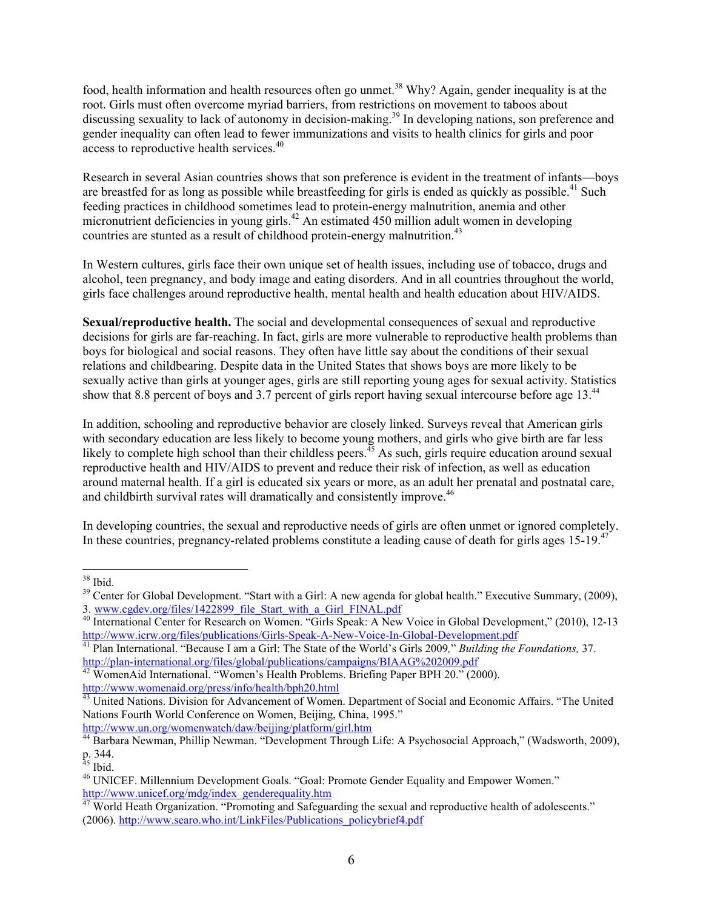food, health information and health resources often go unmet.<sup>38</sup> Why? Again, gender inequality is at the root. Girls must often overcome myriad barriers, from restrictions on movement to taboos about discussing sexuality to lack of autonomy in decision-making.<sup>39</sup> In developing nations, son preference and gender inequality can often lead to fewer immunizations and visits to health clinics for girls and poor access to reproductive health services.<sup>40</sup>

Research in several Asian countries shows that son preference is evident in the treatment of infants—boys are breastfed for as long as possible while breastfeeding for girls is ended as quickly as possible.<sup>41</sup> Such feeding practices in childhood sometimes lead to protein-energy malnutrition, anemia and other micronutrient deficiencies in young girls.<sup>42</sup> An estimated 450 million adult women in developing countries are stunted as a result of childhood protein-energy malnutrition.<sup>43</sup>

In Western cultures, girls face their own unique set of health issues, including use of tobacco, drugs and alcohol, teen pregnancy, and body image and eating disorders. And in all countries throughout the world, girls face challenges around reproductive health, mental health and health education about HIV/AIDS.

**Sexual/reproductive health.** The social and developmental consequences of sexual and reproductive decisions for girls are far-reaching. In fact, girls are more vulnerable to reproductive health problems than boys for biological and social reasons. They often have little say about the conditions of their sexual relations and childbearing. Despite data in the United States that shows boys are more likely to be sexually active than girls at younger ages, girls are still reporting young ages for sexual activity. Statistics show that 8.8 percent of boys and 3.7 percent of girls report having sexual intercourse before age 13.<sup>44</sup>

In addition, schooling and reproductive behavior are closely linked. Surveys reveal that American girls with secondary education are less likely to become young mothers, and girls who give birth are far less likely to complete high school than their childless peers.<sup>45</sup> As such, girls require education around sexual reproductive health and HIV/AIDS to prevent and reduce their risk of infection, as well as education around maternal health. If a girl is educated six years or more, as an adult her prenatal and postnatal care, and childbirth survival rates will dramatically and consistently improve.<sup>46</sup>

In developing countries, the sexual and reproductive needs of girls are often unmet or ignored completely. In these countries, pregnancy-related problems constitute a leading cause of death for girls ages  $15{\text -}19$ .<sup>47</sup>

http://www.un.org/womenwatch/daw/beijing/platform/girl.htm

 <sup>38</sup> Ibid.

<sup>&</sup>lt;sup>39</sup> Center for Global Development. "Start with a Girl: A new agenda for global health." Executive Summary, (2009), 3. www.cgdev.org/files/1422899 file Start with a Girl FINAL.pdf

<sup>3.</sup> International Center for Research on Women. "Girls Speak: A New Voice in Global Development," (2010), 12-13<br>http://www.icrw.org/files/publications/Girls-Speak-A-New-Voice-In-Global-Development.pdf

<sup>&</sup>lt;sup>41</sup> Plan International. "Because I am a Girl: The State of the World's Girls 2009*," Building the Foundations,* 37. http://plan-international.org/files/global/publications/campaigns/BIAAG%202009.pdf <sup>42</sup> WomenAid International. "Women's Health Problems. Briefing Paper BPH 20." (2000).

http://www.womenaid.org/press/info/health/bph20.html

<sup>&</sup>lt;sup>43</sup> United Nations. Division for Advancement of Women. Department of Social and Economic Affairs. "The United Nations Fourth World Conference on Women, Beijing, China, 1995."

<sup>44</sup> Barbara Newman, Phillip Newman. "Development Through Life: A Psychosocial Approach," (Wadsworth, 2009), p. 344.

 $45$  Ibid.

<sup>46</sup> UNICEF. Millennium Development Goals. "Goal: Promote Gender Equality and Empower Women." http://www.unicef.org/mdg/index\_genderequality.htm

<sup>&</sup>lt;sup>47</sup> World Heath Organization. "Promoting and Safeguarding the sexual and reproductive health of adolescents." (2006). http://www.searo.who.int/LinkFiles/Publications\_policybrief4.pdf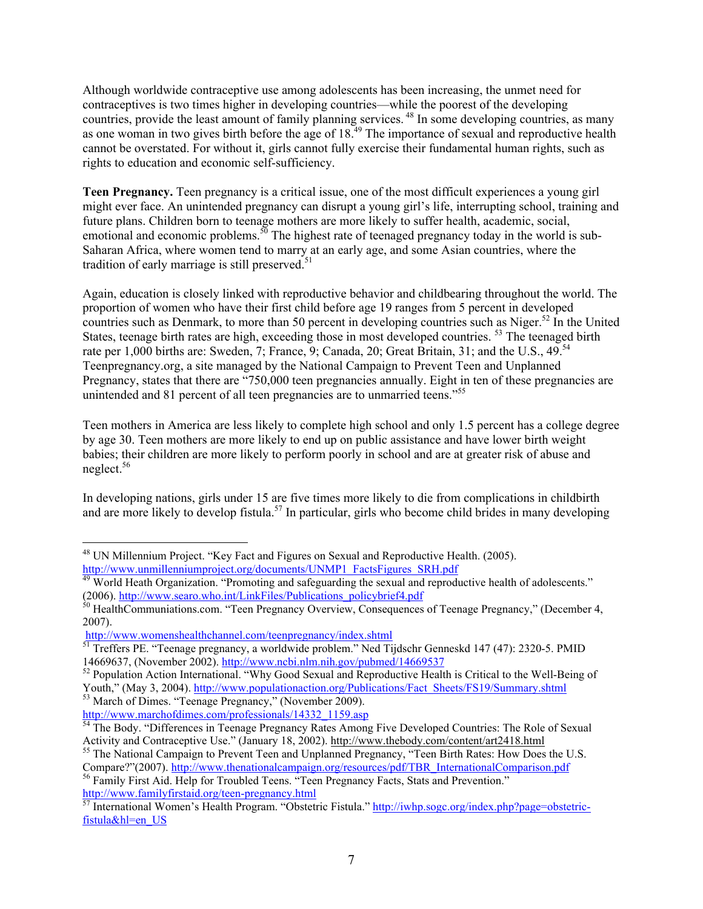Although worldwide contraceptive use among adolescents has been increasing, the unmet need for contraceptives is two times higher in developing countries—while the poorest of the developing countries, provide the least amount of family planning services. <sup>48</sup> In some developing countries, as many as one woman in two gives birth before the age of 18.<sup>49</sup> The importance of sexual and reproductive health cannot be overstated. For without it, girls cannot fully exercise their fundamental human rights, such as rights to education and economic self-sufficiency.

**Teen Pregnancy.** Teen pregnancy is a critical issue, one of the most difficult experiences a young girl might ever face. An unintended pregnancy can disrupt a young girl's life, interrupting school, training and future plans. Children born to teenage mothers are more likely to suffer health, academic, social, emotional and economic problems. $50$  The highest rate of teenaged pregnancy today in the world is sub-Saharan Africa, where women tend to marry at an early age, and some Asian countries, where the tradition of early marriage is still preserved.<sup>51</sup>

Again, education is closely linked with reproductive behavior and childbearing throughout the world. The proportion of women who have their first child before age 19 ranges from 5 percent in developed countries such as Denmark, to more than 50 percent in developing countries such as Niger.<sup>52</sup> In the United States, teenage birth rates are high, exceeding those in most developed countries.<sup>53</sup> The teenaged birth rate per 1,000 births are: Sweden, 7; France, 9; Canada, 20; Great Britain, 31; and the U.S., 49.<sup>54</sup> Teenpregnancy.org, a site managed by the National Campaign to Prevent Teen and Unplanned Pregnancy, states that there are "750,000 teen pregnancies annually. Eight in ten of these pregnancies are unintended and 81 percent of all teen pregnancies are to unmarried teens."<sup>55</sup>

Teen mothers in America are less likely to complete high school and only 1.5 percent has a college degree by age 30. Teen mothers are more likely to end up on public assistance and have lower birth weight babies; their children are more likely to perform poorly in school and are at greater risk of abuse and neglect.56

In developing nations, girls under 15 are five times more likely to die from complications in childbirth and are more likely to develop fistula.<sup>57</sup> In particular, girls who become child brides in many developing

http://www.marchofdimes.com/professionals/14332\_1159.asp

 <sup>48</sup> UN Millennium Project. "Key Fact and Figures on Sexual and Reproductive Health. (2005). http://www.unmillenniumproject.org/documents/UNMP1\_FactsFigures\_SRH.pdf

 $\frac{49}{49}$  World Heath Organization. "Promoting and safeguarding the sexual and reproductive health of adolescents."<br>(2006). http://www.searo.who.int/LinkFiles/Publications policybrief4.pdf

 $\overline{\hat{E}}$ <sup>30</sup> HealthCommuniations.com. "Teen Pregnancy Overview, Consequences of Teenage Pregnancy," (December 4, 2007).

http://www.womenshealthchannel.com/teenpregnancy/index.shtml

<sup>&</sup>lt;sup>51</sup> Treffers PE. "Teenage pregnancy, a worldwide problem." Ned Tijdschr Genneskd 147 (47): 2320-5. PMID 14669637, (November 2002). http://www.ncbi.nlm.nih.gov/pubmed/14669537<br><sup>52</sup> Population Action International. "Why Good Sexual and Reproductive Health is Critical to the Well-Being of

Youth," (May 3, 2004). http://www.populationaction.org/Publications/Fact\_Sheets/FS19/Summary.shtml <sup>53</sup> March of Dimes. "Teenage Pregnancy," (November 2009).

<sup>&</sup>lt;sup>54</sup> The Body. "Differences in Teenage Pregnancy Rates Among Five Developed Countries: The Role of Sexual Activity and Contraceptive Use." (January 18, 2002). http://www.thebody.com/content/art2418.html

<sup>&</sup>lt;sup>55</sup> The National Campaign to Prevent Teen and Unplanned Pregnancy, "Teen Birth Rates: How Does the U.S.

Compare?"(2007). http://www.thenationalcampaign.org/resources/pdf/TBR\_InternationalComparison.pdf 56 Family First Aid. Help for Troubled Teens. "Teen Pregnancy Facts, Stats and Prevention."

http://www.familyfirstaid.org/teen-pregnancy.html<br>
<sup>57</sup> International Women's Health Program. "Obstetric Fistula." http://iwhp.sogc.org/index.php?page=obstetricfistula&hl=en\_US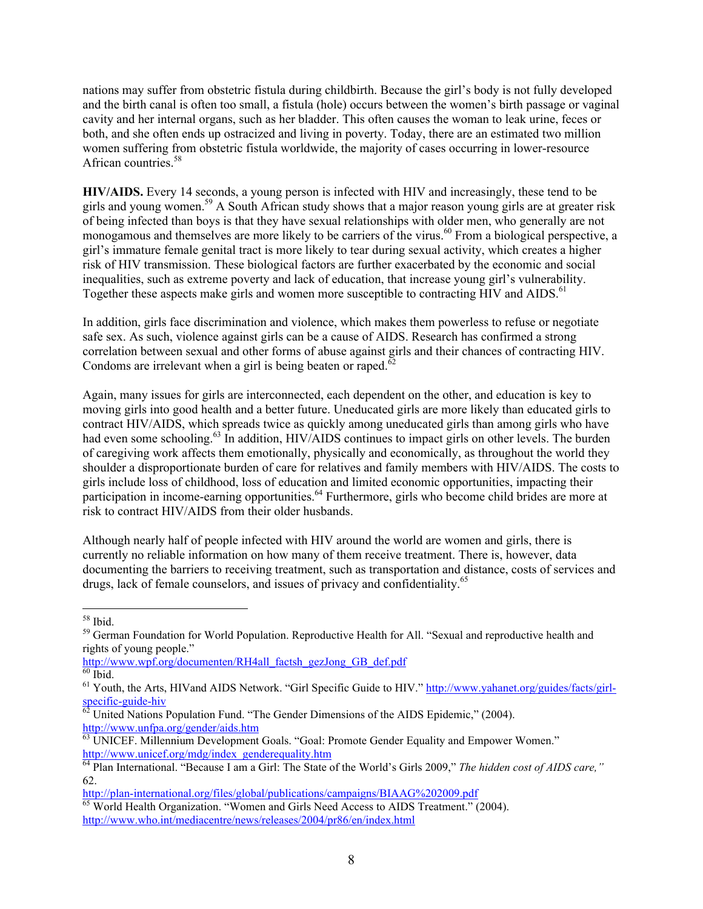nations may suffer from obstetric fistula during childbirth. Because the girl's body is not fully developed and the birth canal is often too small, a fistula (hole) occurs between the women's birth passage or vaginal cavity and her internal organs, such as her bladder. This often causes the woman to leak urine, feces or both, and she often ends up ostracized and living in poverty. Today, there are an estimated two million women suffering from obstetric fistula worldwide, the majority of cases occurring in lower-resource African countries.<sup>58</sup>

**HIV/AIDS.** Every 14 seconds, a young person is infected with HIV and increasingly, these tend to be girls and young women.59 A South African study shows that a major reason young girls are at greater risk of being infected than boys is that they have sexual relationships with older men, who generally are not monogamous and themselves are more likely to be carriers of the virus.<sup>60</sup> From a biological perspective, a girl's immature female genital tract is more likely to tear during sexual activity, which creates a higher risk of HIV transmission. These biological factors are further exacerbated by the economic and social inequalities, such as extreme poverty and lack of education, that increase young girl's vulnerability. Together these aspects make girls and women more susceptible to contracting HIV and AIDS.<sup>61</sup>

In addition, girls face discrimination and violence, which makes them powerless to refuse or negotiate safe sex. As such, violence against girls can be a cause of AIDS. Research has confirmed a strong correlation between sexual and other forms of abuse against girls and their chances of contracting HIV. Condoms are irrelevant when a girl is being beaten or raped.<sup>6</sup>

Again, many issues for girls are interconnected, each dependent on the other, and education is key to moving girls into good health and a better future. Uneducated girls are more likely than educated girls to contract HIV/AIDS, which spreads twice as quickly among uneducated girls than among girls who have had even some schooling.<sup>63</sup> In addition, HIV/AIDS continues to impact girls on other levels. The burden of caregiving work affects them emotionally, physically and economically, as throughout the world they shoulder a disproportionate burden of care for relatives and family members with HIV/AIDS. The costs to girls include loss of childhood, loss of education and limited economic opportunities, impacting their participation in income-earning opportunities.<sup>64</sup> Furthermore, girls who become child brides are more at risk to contract HIV/AIDS from their older husbands.

Although nearly half of people infected with HIV around the world are women and girls, there is currently no reliable information on how many of them receive treatment. There is, however, data documenting the barriers to receiving treatment, such as transportation and distance, costs of services and drugs, lack of female counselors, and issues of privacy and confidentiality.<sup>65</sup>

 <sup>58</sup> Ibid.

<sup>&</sup>lt;sup>59</sup> German Foundation for World Population. Reproductive Health for All. "Sexual and reproductive health and rights of young people."

http://www.wpf.org/documenten/RH4all\_factsh\_gezJong\_GB\_def.pdf  $60$  Ibid.

 $^{61}$  Youth, the Arts, HIVand AIDS Network. "Girl Specific Guide to HIV." http://www.yahanet.org/guides/facts/girlspecific-guide-hiv<br><sup>62</sup> United Nations Population Fund. "The Gender Dimensions of the AIDS Epidemic," (2004).

http://www.unfpa.org/gender/aids.htm

<sup>&</sup>lt;sup>63</sup> UNICEF. Millennium Development Goals. "Goal: Promote Gender Equality and Empower Women."<br>http://www.unicef.org/mdg/index\_genderequality.htm

<sup>&</sup>lt;sup>64</sup> Plan International. "Because I am a Girl: The State of the World's Girls 2009," *The hidden cost of AIDS care*," 62.

http://plan-international.org/files/global/publications/campaigns/BIAAG%202009.pdf 65 World Health Organization. "Women and Girls Need Access to AIDS Treatment." (2004). http://www.who.int/mediacentre/news/releases/2004/pr86/en/index.html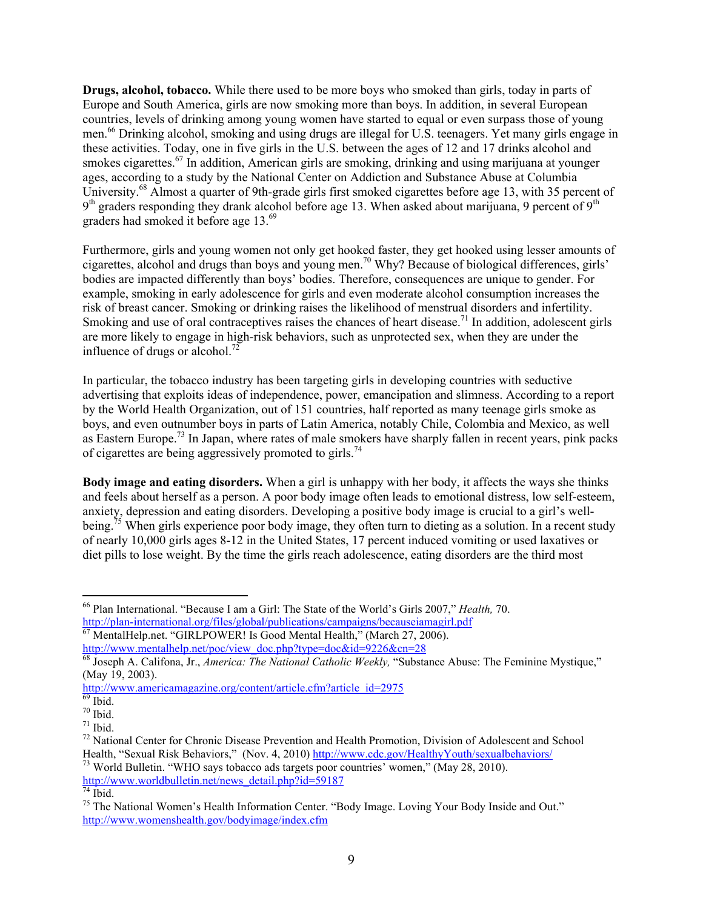**Drugs, alcohol, tobacco.** While there used to be more boys who smoked than girls, today in parts of Europe and South America, girls are now smoking more than boys. In addition, in several European countries, levels of drinking among young women have started to equal or even surpass those of young men.<sup>66</sup> Drinking alcohol, smoking and using drugs are illegal for U.S. teenagers. Yet many girls engage in these activities. Today, one in five girls in the U.S. between the ages of 12 and 17 drinks alcohol and smokes cigarettes.<sup>67</sup> In addition, American girls are smoking, drinking and using marijuana at younger ages, according to a study by the National Center on Addiction and Substance Abuse at Columbia University.68 Almost a quarter of 9th-grade girls first smoked cigarettes before age 13, with 35 percent of  $9<sup>th</sup>$  graders responding they drank alcohol before age 13. When asked about marijuana, 9 percent of  $9<sup>th</sup>$ graders had smoked it before age 13.<sup>69</sup>

Furthermore, girls and young women not only get hooked faster, they get hooked using lesser amounts of cigarettes, alcohol and drugs than boys and young men.70 Why? Because of biological differences, girls' bodies are impacted differently than boys' bodies. Therefore, consequences are unique to gender. For example, smoking in early adolescence for girls and even moderate alcohol consumption increases the risk of breast cancer. Smoking or drinking raises the likelihood of menstrual disorders and infertility. Smoking and use of oral contraceptives raises the chances of heart disease.<sup>71</sup> In addition, adolescent girls are more likely to engage in high-risk behaviors, such as unprotected sex, when they are under the influence of drugs or alcohol.<sup>72</sup>

In particular, the tobacco industry has been targeting girls in developing countries with seductive advertising that exploits ideas of independence, power, emancipation and slimness. According to a report by the World Health Organization, out of 151 countries, half reported as many teenage girls smoke as boys, and even outnumber boys in parts of Latin America, notably Chile, Colombia and Mexico, as well as Eastern Europe.<sup>73</sup> In Japan, where rates of male smokers have sharply fallen in recent years, pink packs of cigarettes are being aggressively promoted to girls.<sup>74</sup>

**Body image and eating disorders.** When a girl is unhappy with her body, it affects the ways she thinks and feels about herself as a person. A poor body image often leads to emotional distress, low self-esteem, anxiety, depression and eating disorders. Developing a positive body image is crucial to a girl's wellbeing.<sup>75</sup> When girls experience poor body image, they often turn to dieting as a solution. In a recent study of nearly 10,000 girls ages 8-12 in the United States, 17 percent induced vomiting or used laxatives or diet pills to lose weight. By the time the girls reach adolescence, eating disorders are the third most

<sup>&</sup>lt;sup>66</sup> Plan International. "Because I am a Girl: The State of the World's Girls 2007," *Health*, 70.<br>http://plan-international.org/files/global/publications/campaigns/becauseiamagirl.pdf

http://plan-international.org/files/global/publications/campaigns/campaigns/campaigns/because in the  $\frac{1}{67}$  MentalHelp.net. "GIRLPOWER! Is Good Mental Health," (March 27, 2006).

http://www.mentalhelp.net/poc/view\_doc.php?type=doc&id=9226&cn=28 68 Joseph A. Califona, Jr., *America: The National Catholic Weekly,* "Substance Abuse: The Feminine Mystique," (May 19, 2003).

http://www.americamagazine.org/content/article.cfm?article\_id=2975 <sup>69</sup> Ibid.

 $70$  Ibid.

 $71$  Ibid.

<sup>&</sup>lt;sup>72</sup> National Center for Chronic Disease Prevention and Health Promotion, Division of Adolescent and School Health, "Sexual Risk Behaviors." (Nov. 4, 2010) http://www.cdc.gov/HealthyYouth/sexualbehaviors/

 $^{73}$  World Bulletin. "WHO says tobacco ads targets poor countries' women," (May 28, 2010). http://www.worldbulletin.net/news\_detail.php?id=59187

 $74$  Ibid.

<sup>&</sup>lt;sup>75</sup> The National Women's Health Information Center. "Body Image. Loving Your Body Inside and Out." http://www.womenshealth.gov/bodyimage/index.cfm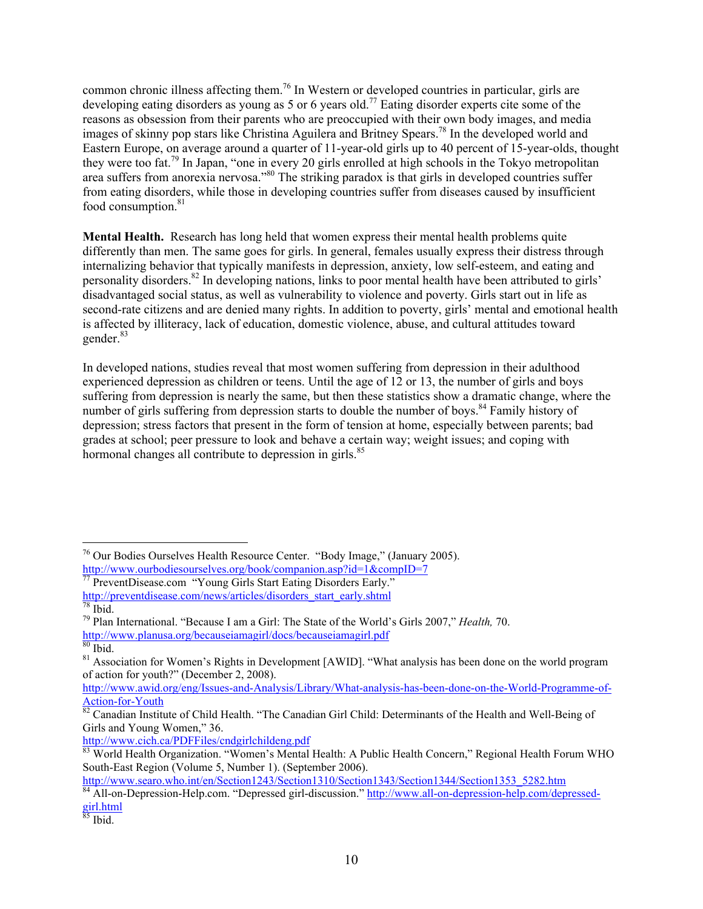common chronic illness affecting them.76 In Western or developed countries in particular, girls are developing eating disorders as young as 5 or 6 years old.<sup>77</sup> Eating disorder experts cite some of the reasons as obsession from their parents who are preoccupied with their own body images, and media images of skinny pop stars like Christina Aguilera and Britney Spears.<sup>78</sup> In the developed world and Eastern Europe, on average around a quarter of 11-year-old girls up to 40 percent of 15-year-olds, thought they were too fat.79 In Japan, "one in every 20 girls enrolled at high schools in the Tokyo metropolitan area suffers from anorexia nervosa."<sup>80</sup> The striking paradox is that girls in developed countries suffer from eating disorders, while those in developing countries suffer from diseases caused by insufficient food consumption.<sup>81</sup>

**Mental Health.** Research has long held that women express their mental health problems quite differently than men. The same goes for girls. In general, females usually express their distress through internalizing behavior that typically manifests in depression, anxiety, low self-esteem, and eating and personality disorders.82 In developing nations, links to poor mental health have been attributed to girls' disadvantaged social status, as well as vulnerability to violence and poverty. Girls start out in life as second-rate citizens and are denied many rights. In addition to poverty, girls' mental and emotional health is affected by illiteracy, lack of education, domestic violence, abuse, and cultural attitudes toward gender.<sup>83</sup>

In developed nations, studies reveal that most women suffering from depression in their adulthood experienced depression as children or teens. Until the age of 12 or 13, the number of girls and boys suffering from depression is nearly the same, but then these statistics show a dramatic change, where the number of girls suffering from depression starts to double the number of boys.<sup>84</sup> Family history of depression; stress factors that present in the form of tension at home, especially between parents; bad grades at school; peer pressure to look and behave a certain way; weight issues; and coping with hormonal changes all contribute to depression in girls.<sup>85</sup>

 <sup>76</sup> Our Bodies Ourselves Health Resource Center. "Body Image," (January 2005). http://www.ourbodiesourselves.org/book/companion.asp?id=1&compID=7<br>
There is the computation of the companion.asp?id=1&compID=7

<sup>77</sup> PreventDisease.com "Young Girls Start Eating Disorders Early." http://preventdisease.com/news/articles/disorders\_start\_early.shtml

 $78$  Ibid.

<sup>79</sup> Plan International. "Because I am a Girl: The State of the World's Girls 2007," *Health,* 70. http://www.planusa.org/becauseiamagirl/docs/becauseiamagirl.pdf

 $80$  Ibid.

<sup>&</sup>lt;sup>81</sup> Association for Women's Rights in Development [AWID]. "What analysis has been done on the world program of action for youth?" (December 2, 2008).

http://www.awid.org/eng/Issues-and-Analysis/Library/What-analysis-has-been-done-on-the-World-Programme-of-Action-for-Youth<br><sup>82</sup> Canadian Institute of Child Health. "The Canadian Girl Child: Determinants of the Health and Well-Being of

Girls and Young Women," 36.

http://www.cich.ca/PDFFiles/cndgirlchildeng.pdf

 $\frac{83}{83}$  World Health Organization. "Women's Mental Health: A Public Health Concern," Regional Health Forum WHO South-East Region (Volume 5, Number 1). (September 2006).

http://www.searo.who.int/en/Section1243/Section1310/Section1343/Section1344/Section1353\_5282.htm

 $\overline{84}$  All-on-Depression-Help.com. "Depressed girl-discussion." http://www.all-on-depression-help.com/depressedgirl.html

 $85$  Ibid.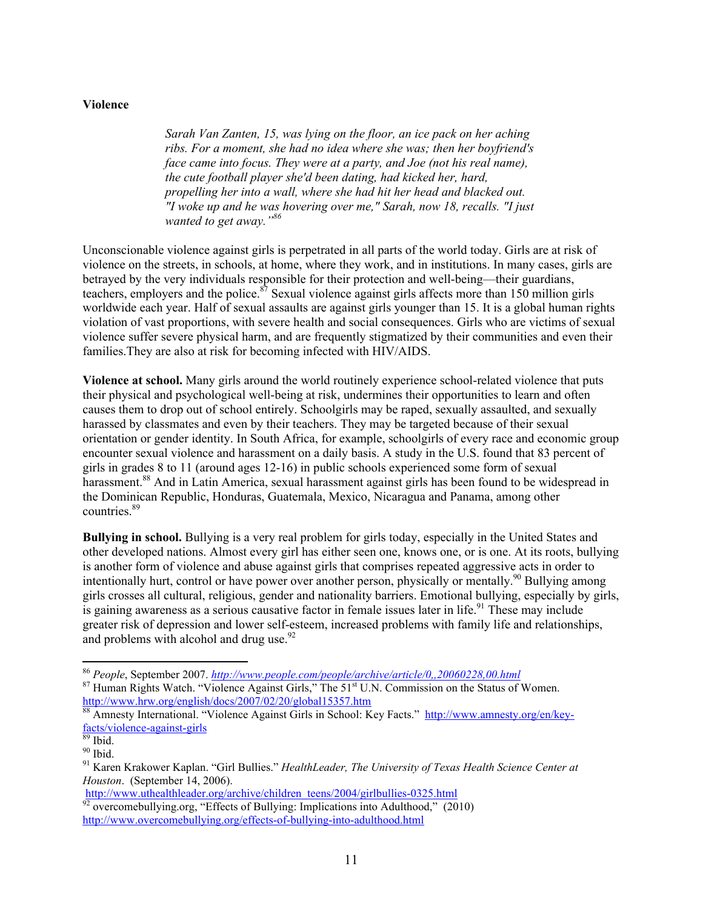### **Violence**

*Sarah Van Zanten, 15, was lying on the floor, an ice pack on her aching ribs. For a moment, she had no idea where she was; then her boyfriend's face came into focus. They were at a party, and Joe (not his real name), the cute football player she'd been dating, had kicked her, hard, propelling her into a wall, where she had hit her head and blacked out. "I woke up and he was hovering over me," Sarah, now 18, recalls. "I just wanted to get away."86*

Unconscionable violence against girls is perpetrated in all parts of the world today. Girls are at risk of violence on the streets, in schools, at home, where they work, and in institutions. In many cases, girls are betrayed by the very individuals responsible for their protection and well-being—their guardians, teachers, employers and the police.<sup>87</sup> Sexual violence against girls affects more than 150 million girls worldwide each year. Half of sexual assaults are against girls younger than 15. It is a global human rights violation of vast proportions, with severe health and social consequences. Girls who are victims of sexual violence suffer severe physical harm, and are frequently stigmatized by their communities and even their families.They are also at risk for becoming infected with HIV/AIDS.

**Violence at school.** Many girls around the world routinely experience school-related violence that puts their physical and psychological well-being at risk, undermines their opportunities to learn and often causes them to drop out of school entirely. Schoolgirls may be raped, sexually assaulted, and sexually harassed by classmates and even by their teachers. They may be targeted because of their sexual orientation or gender identity. In South Africa, for example, schoolgirls of every race and economic group encounter sexual violence and harassment on a daily basis. A study in the U.S. found that 83 percent of girls in grades 8 to 11 (around ages 12-16) in public schools experienced some form of sexual harassment.<sup>88</sup> And in Latin America, sexual harassment against girls has been found to be widespread in the Dominican Republic, Honduras, Guatemala, Mexico, Nicaragua and Panama, among other countries.<sup>89</sup>

**Bullying in school.** Bullying is a very real problem for girls today, especially in the United States and other developed nations. Almost every girl has either seen one, knows one, or is one. At its roots, bullying is another form of violence and abuse against girls that comprises repeated aggressive acts in order to intentionally hurt, control or have power over another person, physically or mentally.<sup>90</sup> Bullying among girls crosses all cultural, religious, gender and nationality barriers. Emotional bullying, especially by girls, is gaining awareness as a serious causative factor in female issues later in life.<sup>91</sup> These may include greater risk of depression and lower self-esteem, increased problems with family life and relationships, and problems with alcohol and drug use. $92$ 

<sup>&</sup>lt;sup>86</sup> *People*, September 2007. *http://www.people.com/people/archive/article/0,,20060228,00.html*<br><sup>87</sup> Human Rights Watch. "Violence Against Girls," The 51<sup>st</sup> U.N. Commission on the Status of Women.

http://www.hrw.org/english/docs/2007/02/20/global15357.htm<br><sup>88</sup> Amnesty International. "Violence Against Girls in School: Key Facts." http://www.amnesty.org/en/key-

facts/violence-against-girls<br><sup>89</sup> Ibid.

<sup>90</sup> Ibid.

<sup>91</sup> Karen Krakower Kaplan. "Girl Bullies." *HealthLeader, The University of Texas Health Science Center at Houston.* (September 14, 2006).<br>http://www.uthealthleader.org/archive/children\_teens/2004/girlbullies-0325.html

 $\frac{\text{Im}\mu_{21}+\text{Im}\mu_{32}}{20}$  overcomebullying.org, "Effects of Bullying: Implications into Adulthood," (2010) http://www.overcomebullying.org/effects-of-bullying-into-adulthood.html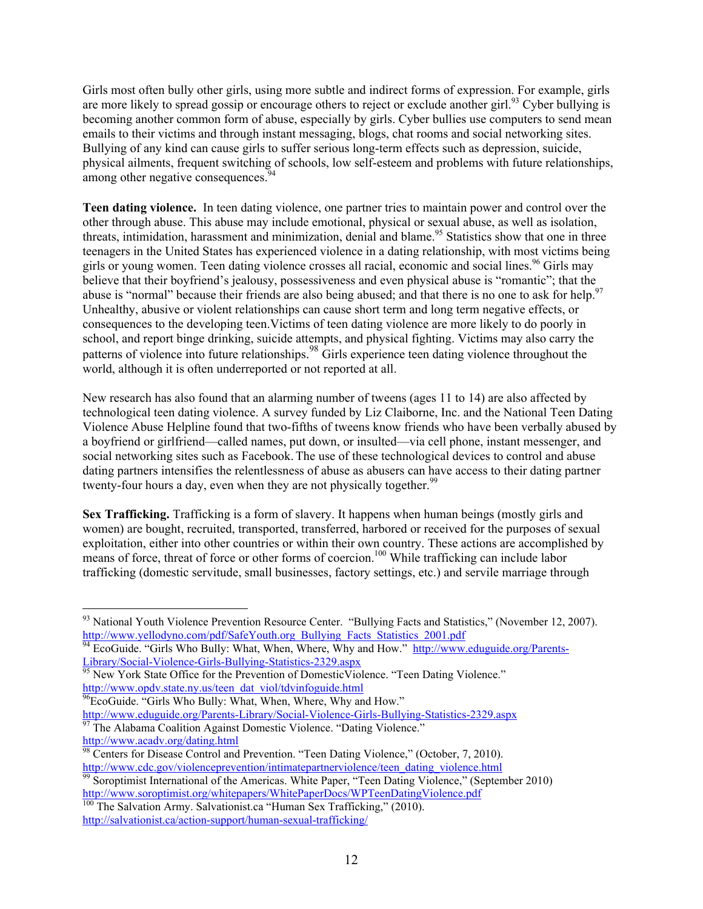Girls most often bully other girls, using more subtle and indirect forms of expression. For example, girls are more likely to spread gossip or encourage others to reject or exclude another girl.<sup>93</sup> Cyber bullying is becoming another common form of abuse, especially by girls. Cyber bullies use computers to send mean emails to their victims and through instant messaging, blogs, chat rooms and social networking sites. Bullying of any kind can cause girls to suffer serious long-term effects such as depression, suicide, physical ailments, frequent switching of schools, low self-esteem and problems with future relationships, among other negative consequences.<sup>9</sup>

**Teen dating violence.** In teen dating violence, one partner tries to maintain power and control over the other through abuse. This abuse may include emotional, physical or sexual abuse, as well as isolation, threats, intimidation, harassment and minimization, denial and blame.<sup>95</sup> Statistics show that one in three teenagers in the United States has experienced violence in a dating relationship, with most victims being girls or young women. Teen dating violence crosses all racial, economic and social lines.<sup>96</sup> Girls may believe that their boyfriend's jealousy, possessiveness and even physical abuse is "romantic"; that the abuse is "normal" because their friends are also being abused; and that there is no one to ask for help.<sup>97</sup> Unhealthy, abusive or violent relationships can cause short term and long term negative effects, or consequences to the developing teen.Victims of teen dating violence are more likely to do poorly in school, and report binge drinking, suicide attempts, and physical fighting. Victims may also carry the patterns of violence into future relationships. <sup>98</sup> Girls experience teen dating violence throughout the world, although it is often underreported or not reported at all.

New research has also found that an alarming number of tweens (ages 11 to 14) are also affected by technological teen dating violence. A survey funded by Liz Claiborne, Inc. and the National Teen Dating Violence Abuse Helpline found that two-fifths of tweens know friends who have been verbally abused by a boyfriend or girlfriend—called names, put down, or insulted—via cell phone, instant messenger, and social networking sites such as Facebook. The use of these technological devices to control and abuse dating partners intensifies the relentlessness of abuse as abusers can have access to their dating partner twenty-four hours a day, even when they are not physically together.<sup>99</sup>

**Sex Trafficking.** Trafficking is a form of slavery. It happens when human beings (mostly girls and women) are bought, recruited, transported, transferred, harbored or received for the purposes of sexual exploitation, either into other countries or within their own country. These actions are accomplished by means of force, threat of force or other forms of coercion.<sup>100</sup> While trafficking can include labor trafficking (domestic servitude, small businesses, factory settings, etc.) and servile marriage through

http://www.acadv.org/dating.html

<sup>&</sup>lt;sup>93</sup> National Youth Violence Prevention Resource Center. "Bullying Facts and Statistics," (November 12, 2007). http://www.yellodyno.com/pdf/SafeYouth.org\_Bullying\_Facts\_Statistics\_2001.pdf

<sup>&</sup>lt;sup>94</sup> EcoGuide. "Girls Who Bully: What, When, Where, Why and How." http://www.eduguide.org/Parents-Library/Social-Violence-Girls-Bullying-Statistics-2329.aspx 95 New York State Office for the Prevention of DomesticViolence. "Teen Dating Violence."

http://www.opdv.state.ny.us/teen\_dat\_viol/tdvinfoguide.html

<sup>&</sup>lt;sup>96</sup>EcoGuide. "Girls Who Bully: What, When, Where, Why and How."<br>http://www.eduguide.org/Parents-Library/Social-Violence-Girls-Bullying-Statistics-2329.aspx  $\frac{1}{97}$  The Alabama Coalition Against Domestic Violence. "Dating Violence."

Centers for Disease Control and Prevention. "Teen Dating Violence," (October, 7, 2010).

http://www.cdc.gov/violenceprevention/intimatepartnerviolence/teen\_dating\_violence.html <sup>99</sup> Soroptimist International of the Americas. White Paper, "Teen Dating Violence," (September 2010) http://www.soroptimist.org/whitepapers/WhitePaperDocs/WPTeenDatingViolence.pdf 100 The Salvation Army. Salvationist.ca "Human Sex Trafficking," (2010).

http://salvationist.ca/action-support/human-sexual-trafficking/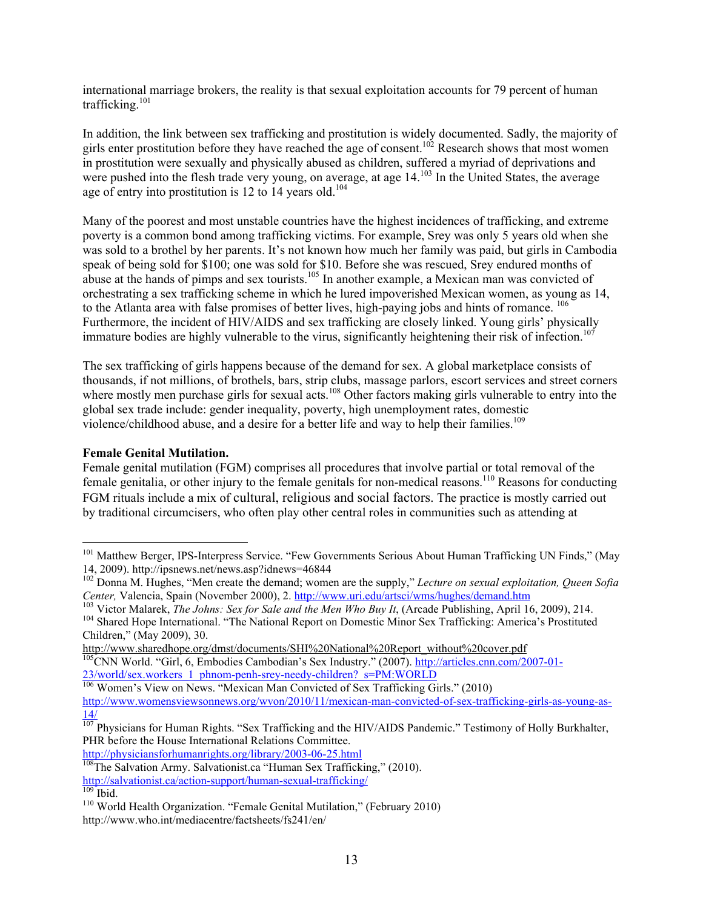international marriage brokers, the reality is that sexual exploitation accounts for 79 percent of human trafficking.<sup>101</sup>

In addition, the link between sex trafficking and prostitution is widely documented. Sadly, the majority of girls enter prostitution before they have reached the age of consent.<sup>102</sup> Research shows that most women in prostitution were sexually and physically abused as children, suffered a myriad of deprivations and were pushed into the flesh trade very young, on average, at age 14.<sup>103</sup> In the United States, the average age of entry into prostitution is 12 to 14 years old.<sup>104</sup>

Many of the poorest and most unstable countries have the highest incidences of trafficking, and extreme poverty is a common bond among trafficking victims. For example, Srey was only 5 years old when she was sold to a brothel by her parents. It's not known how much her family was paid, but girls in Cambodia speak of being sold for \$100; one was sold for \$10. Before she was rescued, Srey endured months of abuse at the hands of pimps and sex tourists.<sup>105</sup> In another example, a Mexican man was convicted of orchestrating a sex trafficking scheme in which he lured impoverished Mexican women, as young as 14, to the Atlanta area with false promises of better lives, high-paying jobs and hints of romance. <sup>106</sup> Furthermore, the incident of HIV/AIDS and sex trafficking are closely linked. Young girls' physically immature bodies are highly vulnerable to the virus, significantly heightening their risk of infection.<sup>107</sup>

The sex trafficking of girls happens because of the demand for sex. A global marketplace consists of thousands, if not millions, of brothels, bars, strip clubs, massage parlors, escort services and street corners where mostly men purchase girls for sexual acts.<sup>108</sup> Other factors making girls vulnerable to entry into the global sex trade include: gender inequality, poverty, high unemployment rates, domestic violence/childhood abuse, and a desire for a better life and way to help their families.<sup>109</sup>

### **Female Genital Mutilation.**

Female genital mutilation (FGM) comprises all procedures that involve partial or total removal of the female genitalia, or other injury to the female genitals for non-medical reasons.110 Reasons for conducting FGM rituals include a mix of cultural, religious and social factors. The practice is mostly carried out by traditional circumcisers, who often play other central roles in communities such as attending at

<sup>&</sup>lt;sup>101</sup> Matthew Berger, IPS-Interpress Service. "Few Governments Serious About Human Trafficking UN Finds," (May 14, 2009). http://ipsnews.net/news.asp?idnews=46844

<sup>102</sup> Donna M. Hughes, "Men create the demand; women are the supply," *Lecture on sexual exploitation, Queen Sofia*<br>Center, Valencia, Spain (November 2000), 2. http://www.uri.edu/artsci/wms/hughes/demand.htm

<sup>&</sup>lt;sup>103</sup> Victor Malarek, *The Johns: Sex for Sale and the Men Who Buy It*, (Arcade Publishing, April 16, 2009), 214.<br><sup>104</sup> Shared Hope International. "The National Report on Domestic Minor Sex Trafficking: America's Prostitu

Children," (May 2009), 30.

http://www.sharedhope.org/dmst/documents/SHI%20National%20Report\_without%20cover.pdf <sup>105</sup>CNN World. "Girl, 6, Embodies Cambodian's Sex Industry." (2007). http://articles.cnn.com/2007-01-23/world/sex.workers\_1\_phnom-penh-srey-needy-children?\_s=PM:WORLD 106 Women's View on News. "Mexican Man Convicted of Sex Trafficking Girls." (2010)

http://www.womensviewsonnews.org/wvon/2010/11/mexican-man-convicted-of-sex-trafficking-girls-as-young-as- $\overline{14/}$ 

<sup>&</sup>lt;sup>107</sup> Physicians for Human Rights. "Sex Trafficking and the HIV/AIDS Pandemic." Testimony of Holly Burkhalter, PHR before the House International Relations Committee.

http://physiciansforhumanrights.org/library/2003-06-25.html <sup>108</sup>The Salvation Army. Salvationist.ca "Human Sex Trafficking," (2010).

http://salvationist.ca/action-support/human-sexual-trafficking/<br><sup>109</sup> Ibid. 110 World Health Organization. "Female Genital Mutilation," (February 2010) http://www.who.int/mediacentre/factsheets/fs241/en/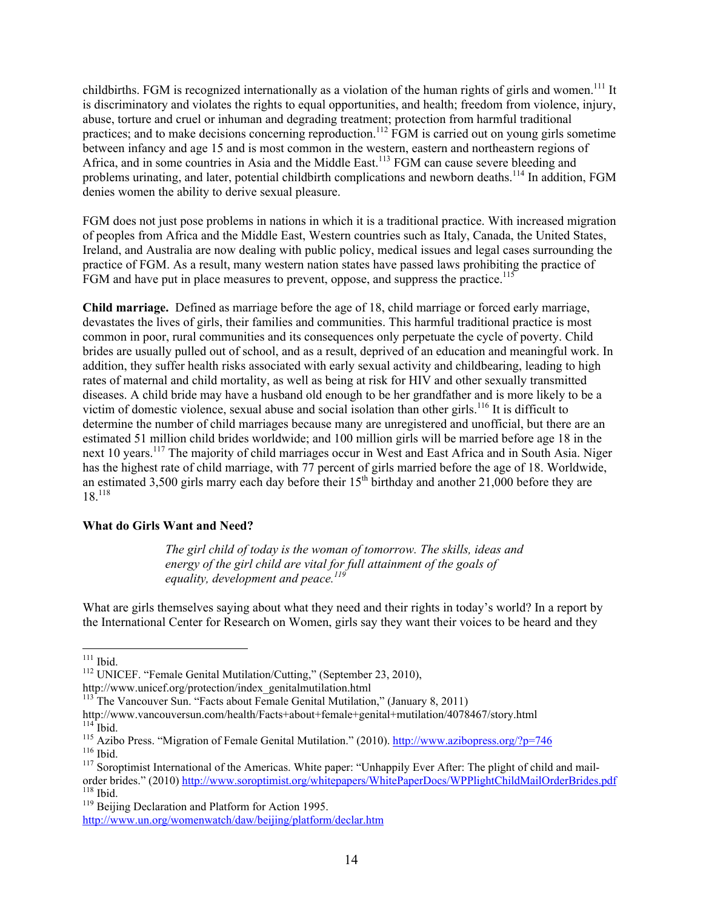childbirths. FGM is recognized internationally as a violation of the human rights of girls and women.<sup>111</sup> It is discriminatory and violates the rights to equal opportunities, and health; freedom from violence, injury, abuse, torture and cruel or inhuman and degrading treatment; protection from harmful traditional practices; and to make decisions concerning reproduction.<sup>112</sup> FGM is carried out on young girls sometime between infancy and age 15 and is most common in the western, eastern and northeastern regions of Africa, and in some countries in Asia and the Middle East.<sup>113</sup> FGM can cause severe bleeding and problems urinating, and later, potential childbirth complications and newborn deaths.<sup>114</sup> In addition, FGM denies women the ability to derive sexual pleasure.

FGM does not just pose problems in nations in which it is a traditional practice. With increased migration of peoples from Africa and the Middle East, Western countries such as Italy, Canada, the United States, Ireland, and Australia are now dealing with public policy, medical issues and legal cases surrounding the practice of FGM. As a result, many western nation states have passed laws prohibiting the practice of  $FGM$  and have put in place measures to prevent, oppose, and suppress the practice.<sup>115</sup>

**Child marriage.** Defined as marriage before the age of 18, child marriage or forced early marriage, devastates the lives of girls, their families and communities. This harmful traditional practice is most common in poor, rural communities and its consequences only perpetuate the cycle of poverty. Child brides are usually pulled out of school, and as a result, deprived of an education and meaningful work. In addition, they suffer health risks associated with early sexual activity and childbearing, leading to high rates of maternal and child mortality, as well as being at risk for HIV and other sexually transmitted diseases. A child bride may have a husband old enough to be her grandfather and is more likely to be a victim of domestic violence, sexual abuse and social isolation than other girls.<sup>116</sup> It is difficult to determine the number of child marriages because many are unregistered and unofficial, but there are an estimated 51 million child brides worldwide; and 100 million girls will be married before age 18 in the next 10 years.<sup>117</sup> The majority of child marriages occur in West and East Africa and in South Asia. Niger has the highest rate of child marriage, with 77 percent of girls married before the age of 18. Worldwide, an estimated 3,500 girls marry each day before their  $15<sup>th</sup>$  birthday and another 21,000 before they are 18.118

#### **What do Girls Want and Need?**

*The girl child of today is the woman of tomorrow. The skills, ideas and*  energy of the girl child are vital for full attainment of the goals of *equality, development and peace.<sup>119</sup>*

What are girls themselves saying about what they need and their rights in today's world? In a report by the International Center for Research on Women, girls say they want their voices to be heard and they

<sup>&</sup>lt;sup>111</sup> Ibid.<br><sup>112</sup> UNICEF. "Female Genital Mutilation/Cutting," (September 23, 2010),

http://www.unicef.org/protection/index\_genitalmutilation.html

<sup>&</sup>lt;sup>113</sup> The Vancouver Sun. "Facts about Female Genital Mutilation," (January 8, 2011)

http://www.vancouversun.com/health/Facts+about+female+genital+mutilation/4078467/story.html

<sup>&</sup>lt;sup>115</sup> Azibo Press. "Migration of Female Genital Mutilation." (2010). http://www.azibopress.org/?p=746<br><sup>116</sup> Ibid.<br><sup>117</sup> Soroptimist International of the Americas. White paper: "Unhappily Ever After: The plight of child and

order brides." (2010) http://www.soroptimist.org/whitepapers/WhitePaperDocs/WPPlightChildMailOrderBrides.pdf <sup>118</sup> Ibid.<br><sup>118</sup> Beijing Declaration and Platform for Action 1995.

http://www.un.org/womenwatch/daw/beijing/platform/declar.htm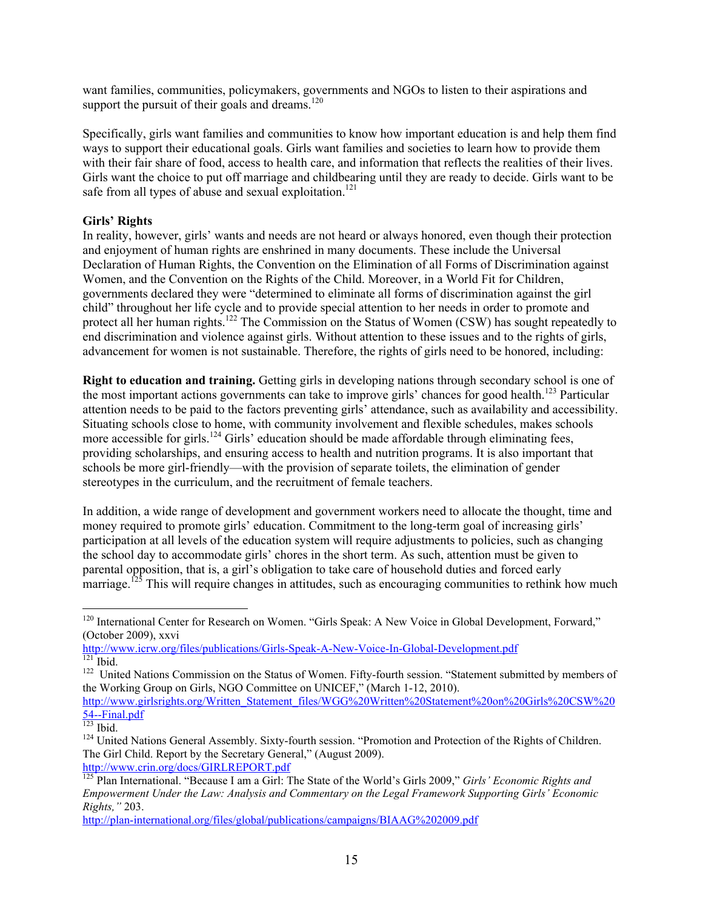want families, communities, policymakers, governments and NGOs to listen to their aspirations and support the pursuit of their goals and dreams. $120$ 

Specifically, girls want families and communities to know how important education is and help them find ways to support their educational goals. Girls want families and societies to learn how to provide them with their fair share of food, access to health care, and information that reflects the realities of their lives. Girls want the choice to put off marriage and childbearing until they are ready to decide. Girls want to be safe from all types of abuse and sexual exploitation.<sup>121</sup>

## **Girls' Rights**

In reality, however, girls' wants and needs are not heard or always honored, even though their protection and enjoyment of human rights are enshrined in many documents. These include the Universal Declaration of Human Rights, the Convention on the Elimination of all Forms of Discrimination against Women, and the Convention on the Rights of the Child. Moreover, in a World Fit for Children, governments declared they were "determined to eliminate all forms of discrimination against the girl child" throughout her life cycle and to provide special attention to her needs in order to promote and protect all her human rights.<sup>122</sup> The Commission on the Status of Women (CSW) has sought repeatedly to end discrimination and violence against girls. Without attention to these issues and to the rights of girls, advancement for women is not sustainable. Therefore, the rights of girls need to be honored, including:

**Right to education and training.** Getting girls in developing nations through secondary school is one of the most important actions governments can take to improve girls' chances for good health.<sup>123</sup> Particular attention needs to be paid to the factors preventing girls' attendance, such as availability and accessibility. Situating schools close to home, with community involvement and flexible schedules, makes schools more accessible for girls.<sup>124</sup> Girls' education should be made affordable through eliminating fees, providing scholarships, and ensuring access to health and nutrition programs. It is also important that schools be more girl-friendly—with the provision of separate toilets, the elimination of gender stereotypes in the curriculum, and the recruitment of female teachers.

In addition, a wide range of development and government workers need to allocate the thought, time and money required to promote girls' education. Commitment to the long-term goal of increasing girls' participation at all levels of the education system will require adjustments to policies, such as changing the school day to accommodate girls' chores in the short term. As such, attention must be given to parental opposition, that is, a girl's obligation to take care of household duties and forced early marriage.<sup>125</sup> This will require changes in attitudes, such as encouraging communities to rethink how much

<sup>&</sup>lt;sup>120</sup> International Center for Research on Women. "Girls Speak: A New Voice in Global Development, Forward," (October 2009), xxvi

http://www.icrw.org/files/publications/Girls-Speak-A-New-Voice-In-Global-Development.pdf<br><sup>121</sup> Ibid.<br><sup>122</sup> United Nations Commission on the Status of Women. Fifty-fourth session. "Statement submitted by members of

the Working Group on Girls, NGO Committee on UNICEF," (March 1-12, 2010).

http://www.girlsrights.org/Written\_Statement\_files/WGG%20Written%20Statement%20on%20Girls%20CSW%20<br>54--Final.pdf

<sup>&</sup>lt;sup>123</sup> Ibid.<br><sup>124</sup> United Nations General Assembly. Sixty-fourth session. "Promotion and Protection of the Rights of Children. The Girl Child. Report by the Secretary General," (August 2009).

http://www.crin.org/docs/GIRLREPORT.pdf 125 Plan International. "Because I am a Girl: The State of the World's Girls 2009," *Girls' Economic Rights and Empowerment Under the Law: Analysis and Commentary on the Legal Framework Supporting Girls' Economic Rights,"* 203.

http://plan-international.org/files/global/publications/campaigns/BIAAG%202009.pdf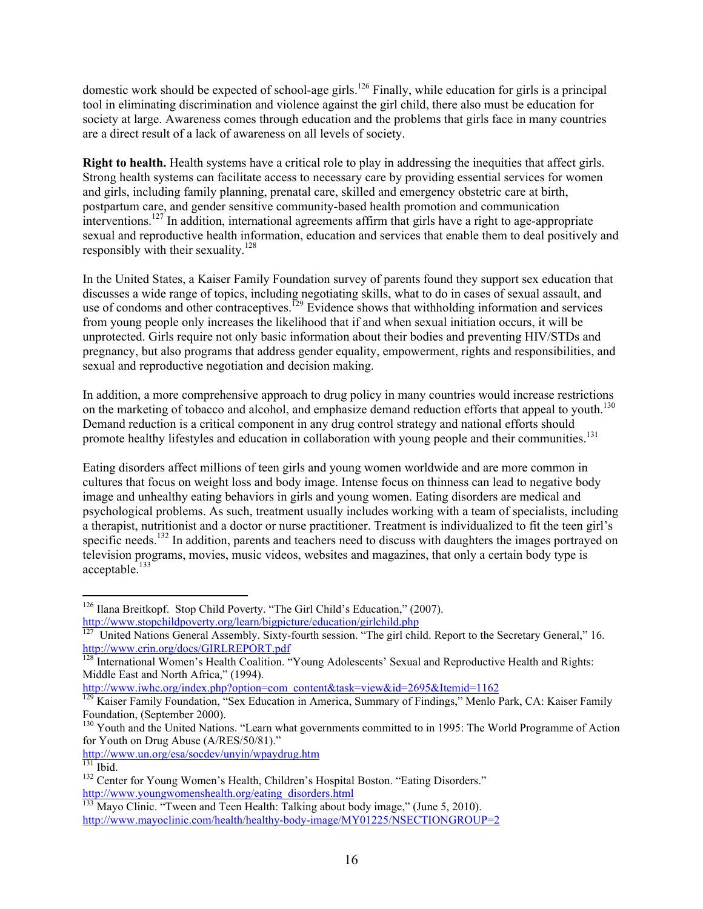domestic work should be expected of school-age girls.<sup>126</sup> Finally, while education for girls is a principal tool in eliminating discrimination and violence against the girl child, there also must be education for society at large. Awareness comes through education and the problems that girls face in many countries are a direct result of a lack of awareness on all levels of society.

**Right to health.** Health systems have a critical role to play in addressing the inequities that affect girls. Strong health systems can facilitate access to necessary care by providing essential services for women and girls, including family planning, prenatal care, skilled and emergency obstetric care at birth, postpartum care, and gender sensitive community-based health promotion and communication interventions.<sup>127</sup> In addition, international agreements affirm that girls have a right to age-appropriate sexual and reproductive health information, education and services that enable them to deal positively and responsibly with their sexuality.128

In the United States, a Kaiser Family Foundation survey of parents found they support sex education that discusses a wide range of topics, including negotiating skills, what to do in cases of sexual assault, and use of condoms and other contraceptives.<sup>129</sup> Evidence shows that withholding information and services from young people only increases the likelihood that if and when sexual initiation occurs, it will be unprotected. Girls require not only basic information about their bodies and preventing HIV/STDs and pregnancy, but also programs that address gender equality, empowerment, rights and responsibilities, and sexual and reproductive negotiation and decision making.

In addition, a more comprehensive approach to drug policy in many countries would increase restrictions on the marketing of tobacco and alcohol, and emphasize demand reduction efforts that appeal to youth.<sup>130</sup> Demand reduction is a critical component in any drug control strategy and national efforts should promote healthy lifestyles and education in collaboration with young people and their communities.<sup>131</sup>

Eating disorders affect millions of teen girls and young women worldwide and are more common in cultures that focus on weight loss and body image. Intense focus on thinness can lead to negative body image and unhealthy eating behaviors in girls and young women. Eating disorders are medical and psychological problems. As such, treatment usually includes working with a team of specialists, including a therapist, nutritionist and a doctor or nurse practitioner. Treatment is individualized to fit the teen girl's specific needs.<sup>132</sup> In addition, parents and teachers need to discuss with daughters the images portrayed on television programs, movies, music videos, websites and magazines, that only a certain body type is  $acceptable.<sup>133</sup>$ 

 <sup>126</sup> Ilana Breitkopf. Stop Child Poverty. "The Girl Child's Education," (2007). http://www.stopchildpoverty.org/learn/bigpicture/education/girlchild.php

United Nations General Assembly. Sixty-fourth session. "The girl child. Report to the Secretary General," 16. http://www.crin.org/docs/GIRLREPORT.pdf

<sup>&</sup>lt;sup>128</sup> International Women's Health Coalition. "Young Adolescents' Sexual and Reproductive Health and Rights: Middle East and North Africa," (1994).

http://www.iwhc.org/index.php?option=com\_content&task=view&id=2695&Itemid=1162

<sup>&</sup>lt;sup>129</sup> Kaiser Family Foundation, "Sex Education in America, Summary of Findings," Menlo Park, CA: Kaiser Family Foundation, (September 2000).

<sup>&</sup>lt;sup>130</sup> Youth and the United Nations. "Learn what governments committed to in 1995: The World Programme of Action for Youth on Drug Abuse (A/RES/50/81)."

http://www.un.org/esa/socdev/unyin/wpaydrug.htm

<sup>&</sup>lt;sup>132</sup> Center for Young Women's Health, Children's Hospital Boston. "Eating Disorders." http://www.youngwomenshealth.org/eating\_disorders.html<br>
<sup>133</sup> Mayo Clinic. "Tween and Teen Health: Talking about body image," (June 5, 2010).

http://www.mayoclinic.com/health/healthy-body-image/MY01225/NSECTIONGROUP=2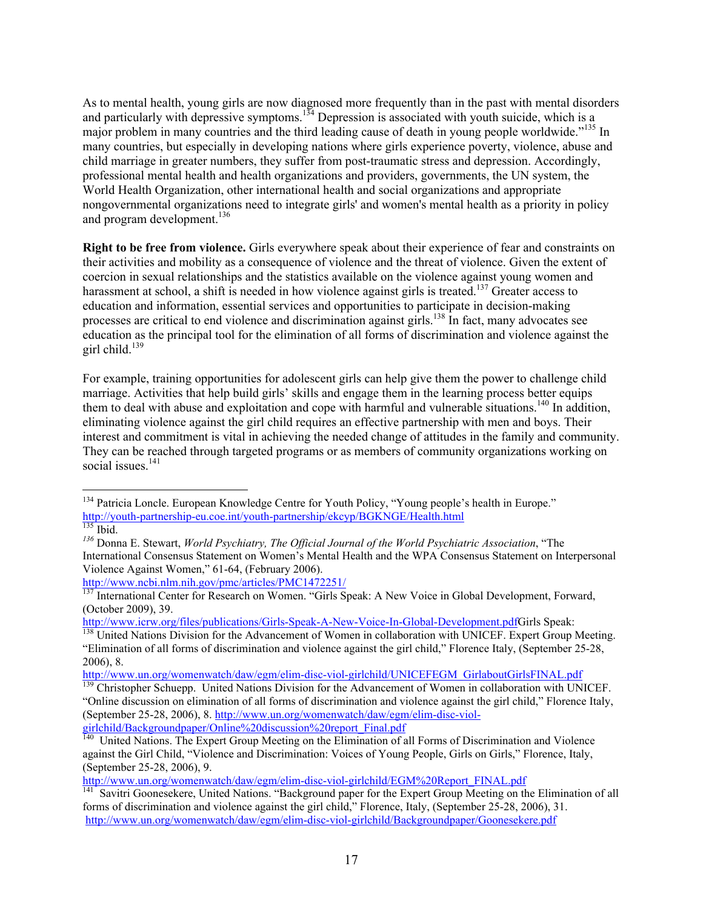As to mental health, young girls are now diagnosed more frequently than in the past with mental disorders and particularly with depressive symptoms.<sup>134</sup> Depression is associated with youth suicide, which is a major problem in many countries and the third leading cause of death in young people worldwide."<sup>135</sup> In many countries, but especially in developing nations where girls experience poverty, violence, abuse and child marriage in greater numbers, they suffer from post-traumatic stress and depression. Accordingly, professional mental health and health organizations and providers, governments, the UN system, the World Health Organization, other international health and social organizations and appropriate nongovernmental organizations need to integrate girls' and women's mental health as a priority in policy and program development.<sup>136</sup>

**Right to be free from violence.** Girls everywhere speak about their experience of fear and constraints on their activities and mobility as a consequence of violence and the threat of violence. Given the extent of coercion in sexual relationships and the statistics available on the violence against young women and harassment at school, a shift is needed in how violence against girls is treated.<sup>137</sup> Greater access to education and information, essential services and opportunities to participate in decision-making processes are critical to end violence and discrimination against girls.<sup>138</sup> In fact, many advocates see education as the principal tool for the elimination of all forms of discrimination and violence against the girl child $139$ 

For example, training opportunities for adolescent girls can help give them the power to challenge child marriage. Activities that help build girls' skills and engage them in the learning process better equips them to deal with abuse and exploitation and cope with harmful and vulnerable situations.<sup>140</sup> In addition, eliminating violence against the girl child requires an effective partnership with men and boys. Their interest and commitment is vital in achieving the needed change of attitudes in the family and community. They can be reached through targeted programs or as members of community organizations working on social issues.<sup>141</sup>

<sup>&</sup>lt;sup>134</sup> Patricia Loncle. European Knowledge Centre for Youth Policy, "Young people's health in Europe."<br>http://youth-partnership-eu.coe.int/youth-partnership/ekcyp/BGKNGE/Health.html

http://<sub>135</sub> Ibid.<br><sup>136</sup> Donna E. Stewart, *World Psychiatry, The Official Journal of the World Psychiatric Association*, "The International Consensus Statement on Women's Mental Health and the WPA Consensus Statement on Interpersonal Violence Against Women," 61-64, (February 2006).

http://www.ncbi.nlm.nih.gov/pmc/articles/PMC1472251/

<sup>&</sup>lt;sup>137</sup> International Center for Research on Women. "Girls Speak: A New Voice in Global Development, Forward, (October 2009), 39.<br>http://www.jcrw.org/files/publications/Girls-Speak-A-New-Voice-In-Global-Development.pdfGirls Speak:

<sup>&</sup>lt;sup>138</sup> United Nations Division for the Advancement of Women in collaboration with UNICEF. Expert Group Meeting. "Elimination of all forms of discrimination and violence against the girl child," Florence Italy, (September 25-28, 2006), 8.<br>http://www.un.org/womenwatch/daw/egm/elim-disc-viol-girlchild/UNICEFEGM GirlaboutGirlsFINAL.pdf

 $\frac{139}{139}$  Christopher Schuepp. United Nations Division for the Advancement of Women in collaboration with UNICEF. "Online discussion on elimination of all forms of discrimination and violence against the girl child," Florence Italy, (September 25-28, 2006), 8. http://www.un.org/womenwatch/daw/egm/elim-disc-viol-

girlchild/Backgroundpaper/Online%20discussion%20report\_Final.pdf <sup>140</sup> United Nations. The Expert Group Meeting on the Elimination of all Forms of Discrimination and Violence

against the Girl Child, "Violence and Discrimination: Voices of Young People, Girls on Girls," Florence, Italy, (September 25-28, 2006), 9.<br>http://www.un.org/womenwatch/daw/egm/elim-disc-viol-girlchild/EGM%20Report FINAL.pdf

<sup>&</sup>lt;sup>141</sup> Savitri Goonesekere, United Nations. "Background paper for the Expert Group Meeting on the Elimination of all forms of discrimination and violence against the girl child," Florence, Italy, (September 25-28, 2006), 31. http://www.un.org/womenwatch/daw/egm/elim-disc-viol-girlchild/Backgroundpaper/Goonesekere.pdf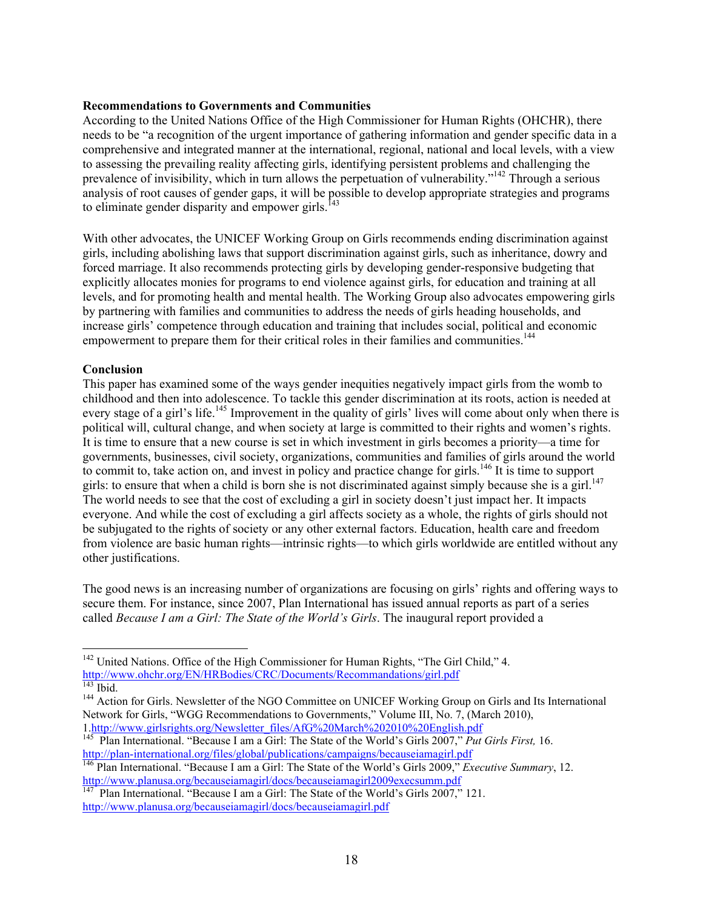#### **Recommendations to Governments and Communities**

According to the United Nations Office of the High Commissioner for Human Rights (OHCHR), there needs to be "a recognition of the urgent importance of gathering information and gender specific data in a comprehensive and integrated manner at the international, regional, national and local levels, with a view to assessing the prevailing reality affecting girls, identifying persistent problems and challenging the prevalence of invisibility, which in turn allows the perpetuation of vulnerability."142 Through a serious analysis of root causes of gender gaps, it will be possible to develop appropriate strategies and programs to eliminate gender disparity and empower girls.<sup>1</sup>

With other advocates, the UNICEF Working Group on Girls recommends ending discrimination against girls, including abolishing laws that support discrimination against girls, such as inheritance, dowry and forced marriage. It also recommends protecting girls by developing gender-responsive budgeting that explicitly allocates monies for programs to end violence against girls, for education and training at all levels, and for promoting health and mental health. The Working Group also advocates empowering girls by partnering with families and communities to address the needs of girls heading households, and increase girls' competence through education and training that includes social, political and economic empowerment to prepare them for their critical roles in their families and communities.<sup>144</sup>

### **Conclusion**

This paper has examined some of the ways gender inequities negatively impact girls from the womb to childhood and then into adolescence. To tackle this gender discrimination at its roots, action is needed at every stage of a girl's life.<sup>145</sup> Improvement in the quality of girls' lives will come about only when there is political will, cultural change, and when society at large is committed to their rights and women's rights. It is time to ensure that a new course is set in which investment in girls becomes a priority—a time for governments, businesses, civil society, organizations, communities and families of girls around the world to commit to, take action on, and invest in policy and practice change for girls.<sup>146</sup> It is time to support girls: to ensure that when a child is born she is not discriminated against simply because she is a girl.<sup>147</sup> The world needs to see that the cost of excluding a girl in society doesn't just impact her. It impacts everyone. And while the cost of excluding a girl affects society as a whole, the rights of girls should not be subjugated to the rights of society or any other external factors. Education, health care and freedom from violence are basic human rights—intrinsic rights—to which girls worldwide are entitled without any other justifications.

The good news is an increasing number of organizations are focusing on girls' rights and offering ways to secure them. For instance, since 2007, Plan International has issued annual reports as part of a series called *Because I am a Girl: The State of the World's Girls*. The inaugural report provided a

<sup>&</sup>lt;sup>142</sup> United Nations. Office of the High Commissioner for Human Rights, "The Girl Child," 4.  $\frac{http://www.ohehr.org/EN/HRBodies/CRC/Documents/Recommendations/ girl.pdf}{$ 

<sup>&</sup>lt;sup>143</sup> Ibid. <sup>144</sup> Action for Girls. Newsletter of the NGO Committee on UNICEF Working Group on Girls and Its International Network for Girls, "WGG Recommendations to Governments," Volume III, No. 7, (March 2010), 1.http://www.girlsrights.org/Newsletter\_files/AfG%20March%202010%20English.pdf

<sup>145</sup> Plan International. "Because I am a Girl: The State of the World's Girls 2007," *Put Girls First*, 16.<br>http://plan-international.org/files/global/publications/campaigns/becauseiamagirl.pdf

<sup>&</sup>lt;sup>146</sup> Plan International. "Because I am a Girl: The State of the World's Girls 2009," *Executive Summary*, 12. http://www.planusa.org/becauseiamagirl/docs/becauseiamagirl2009execsumm.pdf

Plan International. "Because I am a Girl: The State of the World's Girls 2007," 121. http://www.planusa.org/becauseiamagirl/docs/becauseiamagirl.pdf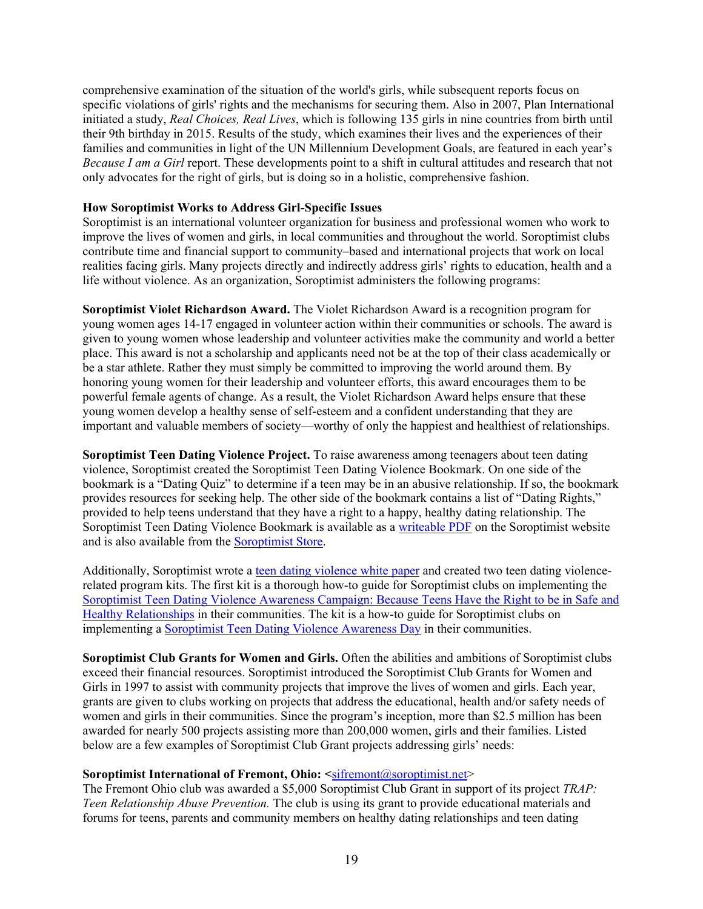comprehensive examination of the situation of the world's girls, while subsequent reports focus on specific violations of girls' rights and the mechanisms for securing them. Also in 2007, Plan International initiated a study, *Real Choices, Real Lives*, which is following 135 girls in nine countries from birth until their 9th birthday in 2015. Results of the study, which examines their lives and the experiences of their families and communities in light of the UN Millennium Development Goals, are featured in each year's *Because I am a Girl* report. These developments point to a shift in cultural attitudes and research that not only advocates for the right of girls, but is doing so in a holistic, comprehensive fashion.

#### **How Soroptimist Works to Address Girl-Specific Issues**

Soroptimist is an international volunteer organization for business and professional women who work to improve the lives of women and girls, in local communities and throughout the world. Soroptimist clubs contribute time and financial support to community–based and international projects that work on local realities facing girls. Many projects directly and indirectly address girls' rights to education, health and a life without violence. As an organization, Soroptimist administers the following programs:

**Soroptimist Violet Richardson Award.** The Violet Richardson Award is a recognition program for young women ages 14-17 engaged in volunteer action within their communities or schools. The award is given to young women whose leadership and volunteer activities make the community and world a better place. This award is not a scholarship and applicants need not be at the top of their class academically or be a star athlete. Rather they must simply be committed to improving the world around them. By honoring young women for their leadership and volunteer efforts, this award encourages them to be powerful female agents of change. As a result, the Violet Richardson Award helps ensure that these young women develop a healthy sense of self-esteem and a confident understanding that they are important and valuable members of society—worthy of only the happiest and healthiest of relationships.

**Soroptimist Teen Dating Violence Project.** To raise awareness among teenagers about teen dating violence, Soroptimist created the Soroptimist Teen Dating Violence Bookmark. On one side of the bookmark is a "Dating Quiz" to determine if a teen may be in an abusive relationship. If so, the bookmark provides resources for seeking help. The other side of the bookmark contains a list of "Dating Rights," provided to help teens understand that they have a right to a happy, healthy dating relationship. The Soroptimist Teen Dating Violence Bookmark is available as a writeable PDF on the Soroptimist website and is also available from the Soroptimist Store.

Additionally, Soroptimist wrote a teen dating violence white paper and created two teen dating violencerelated program kits. The first kit is a thorough how-to guide for Soroptimist clubs on implementing the Soroptimist Teen Dating Violence Awareness Campaign: Because Teens Have the Right to be in Safe and Healthy Relationships in their communities. The kit is a how-to guide for Soroptimist clubs on implementing a Soroptimist Teen Dating Violence Awareness Day in their communities.

**Soroptimist Club Grants for Women and Girls.** Often the abilities and ambitions of Soroptimist clubs exceed their financial resources. Soroptimist introduced the Soroptimist Club Grants for Women and Girls in 1997 to assist with community projects that improve the lives of women and girls. Each year, grants are given to clubs working on projects that address the educational, health and/or safety needs of women and girls in their communities. Since the program's inception, more than \$2.5 million has been awarded for nearly 500 projects assisting more than 200,000 women, girls and their families. Listed below are a few examples of Soroptimist Club Grant projects addressing girls' needs:

### **Soroptimist International of Fremont, Ohio: <sifremont@soroptimist.net>**

The Fremont Ohio club was awarded a \$5,000 Soroptimist Club Grant in support of its project *TRAP: Teen Relationship Abuse Prevention.* The club is using its grant to provide educational materials and forums for teens, parents and community members on healthy dating relationships and teen dating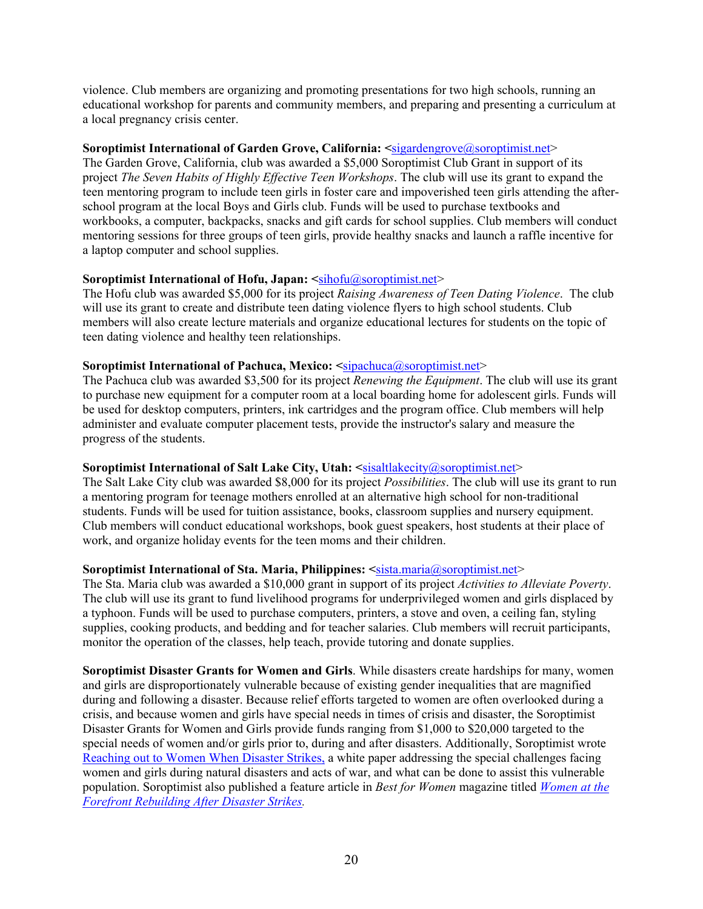violence. Club members are organizing and promoting presentations for two high schools, running an educational workshop for parents and community members, and preparing and presenting a curriculum at a local pregnancy crisis center.

## **Soroptimist International of Garden Grove, California:**  $\leq$ **sigardengrove@soroptimist.net>**

The Garden Grove, California, club was awarded a \$5,000 Soroptimist Club Grant in support of its project *The Seven Habits of Highly Effective Teen Workshops*. The club will use its grant to expand the teen mentoring program to include teen girls in foster care and impoverished teen girls attending the afterschool program at the local Boys and Girls club. Funds will be used to purchase textbooks and workbooks, a computer, backpacks, snacks and gift cards for school supplies. Club members will conduct mentoring sessions for three groups of teen girls, provide healthy snacks and launch a raffle incentive for a laptop computer and school supplies.

## **Soroptimist International of Hofu, Japan: <**sihofu@soroptimist.net>

The Hofu club was awarded \$5,000 for its project *Raising Awareness of Teen Dating Violence*. The club will use its grant to create and distribute teen dating violence flyers to high school students. Club members will also create lecture materials and organize educational lectures for students on the topic of teen dating violence and healthy teen relationships.

## **Soroptimist International of Pachuca, Mexico: <**sipachuca@soroptimist.net>

The Pachuca club was awarded \$3,500 for its project *Renewing the Equipment*. The club will use its grant to purchase new equipment for a computer room at a local boarding home for adolescent girls. Funds will be used for desktop computers, printers, ink cartridges and the program office. Club members will help administer and evaluate computer placement tests, provide the instructor's salary and measure the progress of the students.

## Soroptimist International of Salt Lake City, Utah: <sisaltlakecity@soroptimist.net>

The Salt Lake City club was awarded \$8,000 for its project *Possibilities*. The club will use its grant to run a mentoring program for teenage mothers enrolled at an alternative high school for non-traditional students. Funds will be used for tuition assistance, books, classroom supplies and nursery equipment. Club members will conduct educational workshops, book guest speakers, host students at their place of work, and organize holiday events for the teen moms and their children.

### **Soroptimist International of Sta. Maria, Philippines: <**sista.maria@soroptimist.net>

The Sta. Maria club was awarded a \$10,000 grant in support of its project *Activities to Alleviate Poverty*. The club will use its grant to fund livelihood programs for underprivileged women and girls displaced by a typhoon. Funds will be used to purchase computers, printers, a stove and oven, a ceiling fan, styling supplies, cooking products, and bedding and for teacher salaries. Club members will recruit participants, monitor the operation of the classes, help teach, provide tutoring and donate supplies.

**Soroptimist Disaster Grants for Women and Girls**. While disasters create hardships for many, women and girls are disproportionately vulnerable because of existing gender inequalities that are magnified during and following a disaster. Because relief efforts targeted to women are often overlooked during a crisis, and because women and girls have special needs in times of crisis and disaster, the Soroptimist Disaster Grants for Women and Girls provide funds ranging from \$1,000 to \$20,000 targeted to the special needs of women and/or girls prior to, during and after disasters. Additionally, Soroptimist wrote Reaching out to Women When Disaster Strikes, a white paper addressing the special challenges facing women and girls during natural disasters and acts of war, and what can be done to assist this vulnerable population. Soroptimist also published a feature article in *Best for Women* magazine titled *Women at the Forefront Rebuilding After Disaster Strikes.*